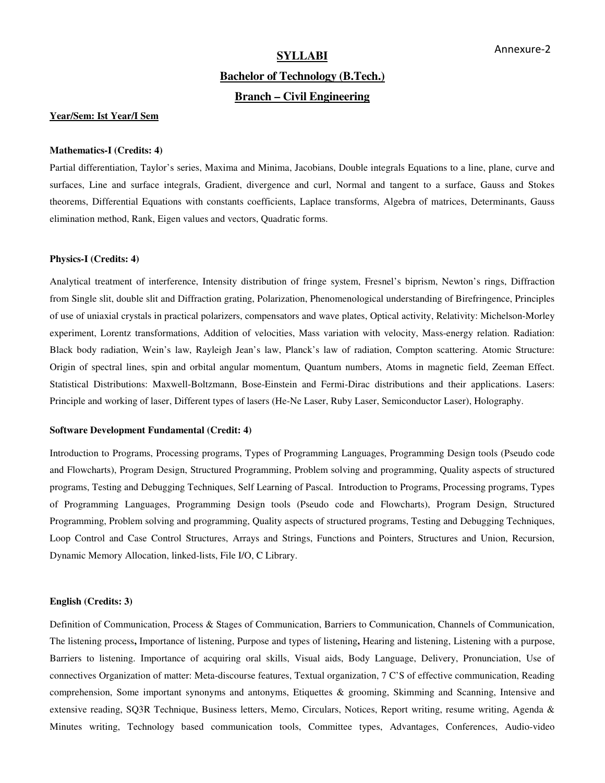# **SYLLABI**

# **Bachelor of Technology (B.Tech.) Branch – Civil Engineering**

# **Year/Sem: Ist Year/I Sem**

#### **Mathematics-I (Credits: 4)**

Partial differentiation, Taylor's series, Maxima and Minima, Jacobians, Double integrals Equations to a line, plane, curve and surfaces, Line and surface integrals, Gradient, divergence and curl, Normal and tangent to a surface, Gauss and Stokes theorems, Differential Equations with constants coefficients, Laplace transforms, Algebra of matrices, Determinants, Gauss elimination method, Rank, Eigen values and vectors, Quadratic forms.

#### **Physics-I (Credits: 4)**

Analytical treatment of interference, Intensity distribution of fringe system, Fresnel's biprism, Newton's rings, Diffraction from Single slit, double slit and Diffraction grating, Polarization, Phenomenological understanding of Birefringence, Principles of use of uniaxial crystals in practical polarizers, compensators and wave plates, Optical activity, Relativity: Michelson-Morley experiment, Lorentz transformations, Addition of velocities, Mass variation with velocity, Mass-energy relation. Radiation: Black body radiation, Wein's law, Rayleigh Jean's law, Planck's law of radiation, Compton scattering. Atomic Structure: Origin of spectral lines, spin and orbital angular momentum, Quantum numbers, Atoms in magnetic field, Zeeman Effect. Statistical Distributions: Maxwell-Boltzmann, Bose-Einstein and Fermi-Dirac distributions and their applications. Lasers: Principle and working of laser, Different types of lasers (He-Ne Laser, Ruby Laser, Semiconductor Laser), Holography.

#### **Software Development Fundamental (Credit: 4)**

Introduction to Programs, Processing programs, Types of Programming Languages, Programming Design tools (Pseudo code and Flowcharts), Program Design, Structured Programming, Problem solving and programming, Quality aspects of structured programs, Testing and Debugging Techniques, Self Learning of Pascal. Introduction to Programs, Processing programs, Types of Programming Languages, Programming Design tools (Pseudo code and Flowcharts), Program Design, Structured Programming, Problem solving and programming, Quality aspects of structured programs, Testing and Debugging Techniques, Loop Control and Case Control Structures, Arrays and Strings, Functions and Pointers, Structures and Union, Recursion, Dynamic Memory Allocation, linked-lists, File I/O, C Library.

#### **English (Credits: 3)**

Definition of Communication, Process & Stages of Communication, Barriers to Communication, Channels of Communication, The listening process**,** Importance of listening, Purpose and types of listening**,** Hearing and listening, Listening with a purpose, Barriers to listening. Importance of acquiring oral skills, Visual aids, Body Language, Delivery, Pronunciation, Use of connectives Organization of matter: Meta-discourse features, Textual organization, 7 C'S of effective communication, Reading comprehension, Some important synonyms and antonyms, Etiquettes & grooming, Skimming and Scanning, Intensive and extensive reading, SQ3R Technique, Business letters, Memo, Circulars, Notices, Report writing, resume writing, Agenda & Minutes writing, Technology based communication tools, Committee types, Advantages, Conferences, Audio-video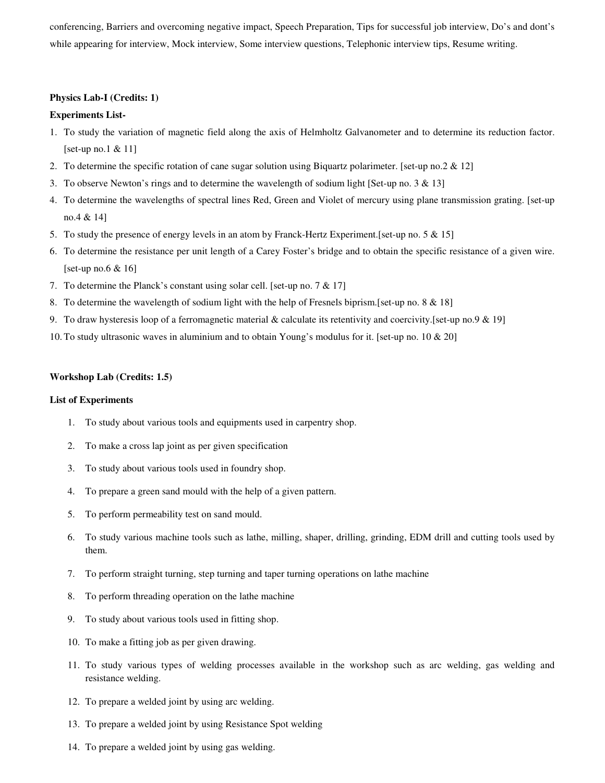conferencing, Barriers and overcoming negative impact, Speech Preparation, Tips for successful job interview, Do's and dont's while appearing for interview, Mock interview, Some interview questions, Telephonic interview tips, Resume writing.

# **Physics Lab-I (Credits: 1)**

# **Experiments List-**

- 1. To study the variation of magnetic field along the axis of Helmholtz Galvanometer and to determine its reduction factor. [set-up no.1 & 11]
- 2. To determine the specific rotation of cane sugar solution using Biquartz polarimeter. [set-up no.2 & 12]
- 3. To observe Newton's rings and to determine the wavelength of sodium light [Set-up no. 3 & 13]
- 4. To determine the wavelengths of spectral lines Red, Green and Violet of mercury using plane transmission grating. [set-up no.4 & 14]
- 5. To study the presence of energy levels in an atom by Franck-Hertz Experiment.[set-up no. 5 & 15]
- 6. To determine the resistance per unit length of a Carey Foster's bridge and to obtain the specific resistance of a given wire. [set-up no.6  $& 16$ ]
- 7. To determine the Planck's constant using solar cell. [set-up no. 7 & 17]
- 8. To determine the wavelength of sodium light with the help of Fresnels biprism.[set-up no. 8 & 18]
- 9. To draw hysteresis loop of a ferromagnetic material & calculate its retentivity and coercivity.[set-up no.9 & 19]
- 10. To study ultrasonic waves in aluminium and to obtain Young's modulus for it. [set-up no. 10 & 20]

### **Workshop Lab (Credits: 1.5)**

# **List of Experiments**

- 1. To study about various tools and equipments used in carpentry shop.
- 2. To make a cross lap joint as per given specification
- 3. To study about various tools used in foundry shop.
- 4. To prepare a green sand mould with the help of a given pattern.
- 5. To perform permeability test on sand mould.
- 6. To study various machine tools such as lathe, milling, shaper, drilling, grinding, EDM drill and cutting tools used by them.
- 7. To perform straight turning, step turning and taper turning operations on lathe machine
- 8. To perform threading operation on the lathe machine
- 9. To study about various tools used in fitting shop.
- 10. To make a fitting job as per given drawing.
- 11. To study various types of welding processes available in the workshop such as arc welding, gas welding and resistance welding.
- 12. To prepare a welded joint by using arc welding.
- 13. To prepare a welded joint by using Resistance Spot welding
- 14. To prepare a welded joint by using gas welding.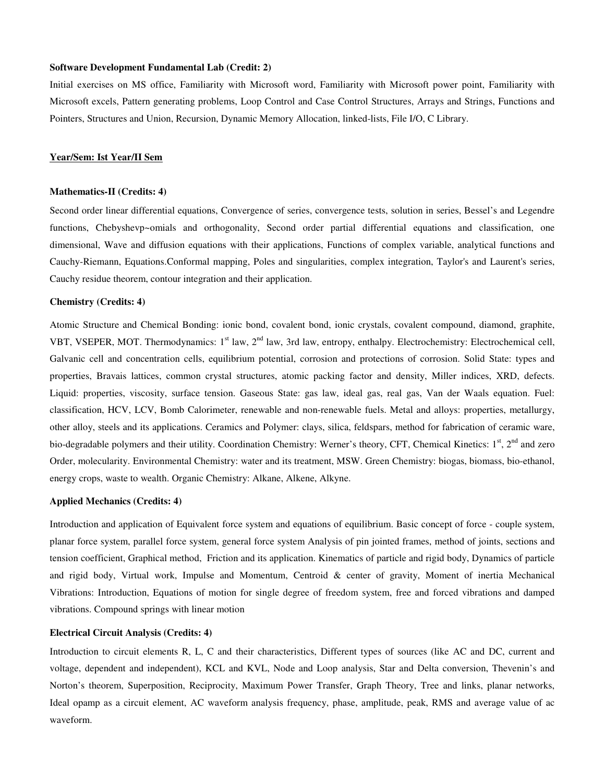# **Software Development Fundamental Lab (Credit: 2)**

Initial exercises on MS office, Familiarity with Microsoft word, Familiarity with Microsoft power point, Familiarity with Microsoft excels, Pattern generating problems, Loop Control and Case Control Structures, Arrays and Strings, Functions and Pointers, Structures and Union, Recursion, Dynamic Memory Allocation, linked-lists, File I/O, C Library.

# **Year/Sem: Ist Year/II Sem**

#### **Mathematics-II (Credits: 4)**

Second order linear differential equations, Convergence of series, convergence tests, solution in series, Bessel's and Legendre functions, Chebyshevp~omials and orthogonality, Second order partial differential equations and classification, one dimensional, Wave and diffusion equations with their applications, Functions of complex variable, analytical functions and Cauchy-Riemann, Equations.Conformal mapping, Poles and singularities, complex integration, Taylor's and Laurent's series, Cauchy residue theorem, contour integration and their application.

#### **Chemistry (Credits: 4)**

Atomic Structure and Chemical Bonding: ionic bond, covalent bond, ionic crystals, covalent compound, diamond, graphite, VBT, VSEPER, MOT. Thermodynamics: 1<sup>st</sup> law, 2<sup>nd</sup> law, 3rd law, entropy, enthalpy. Electrochemistry: Electrochemical cell, Galvanic cell and concentration cells, equilibrium potential, corrosion and protections of corrosion. Solid State: types and properties, Bravais lattices, common crystal structures, atomic packing factor and density, Miller indices, XRD, defects. Liquid: properties, viscosity, surface tension. Gaseous State: gas law, ideal gas, real gas, Van der Waals equation. Fuel: classification, HCV, LCV, Bomb Calorimeter, renewable and non-renewable fuels. Metal and alloys: properties, metallurgy, other alloy, steels and its applications. Ceramics and Polymer: clays, silica, feldspars, method for fabrication of ceramic ware, bio-degradable polymers and their utility. Coordination Chemistry: Werner's theory, CFT, Chemical Kinetics:  $1<sup>st</sup>$ ,  $2<sup>nd</sup>$  and zero Order, molecularity. Environmental Chemistry: water and its treatment, MSW. Green Chemistry: biogas, biomass, bio-ethanol, energy crops, waste to wealth. Organic Chemistry: Alkane, Alkene, Alkyne.

#### **Applied Mechanics (Credits: 4)**

Introduction and application of Equivalent force system and equations of equilibrium. Basic concept of force - couple system, planar force system, parallel force system, general force system Analysis of pin jointed frames, method of joints, sections and tension coefficient, Graphical method, Friction and its application. Kinematics of particle and rigid body, Dynamics of particle and rigid body, Virtual work, Impulse and Momentum, Centroid & center of gravity, Moment of inertia Mechanical Vibrations: Introduction, Equations of motion for single degree of freedom system, free and forced vibrations and damped vibrations. Compound springs with linear motion

#### **Electrical Circuit Analysis (Credits: 4)**

Introduction to circuit elements R, L, C and their characteristics, Different types of sources (like AC and DC, current and voltage, dependent and independent), KCL and KVL, Node and Loop analysis, Star and Delta conversion, Thevenin's and Norton's theorem, Superposition, Reciprocity, Maximum Power Transfer, Graph Theory, Tree and links, planar networks, Ideal opamp as a circuit element, AC waveform analysis frequency, phase, amplitude, peak, RMS and average value of ac waveform.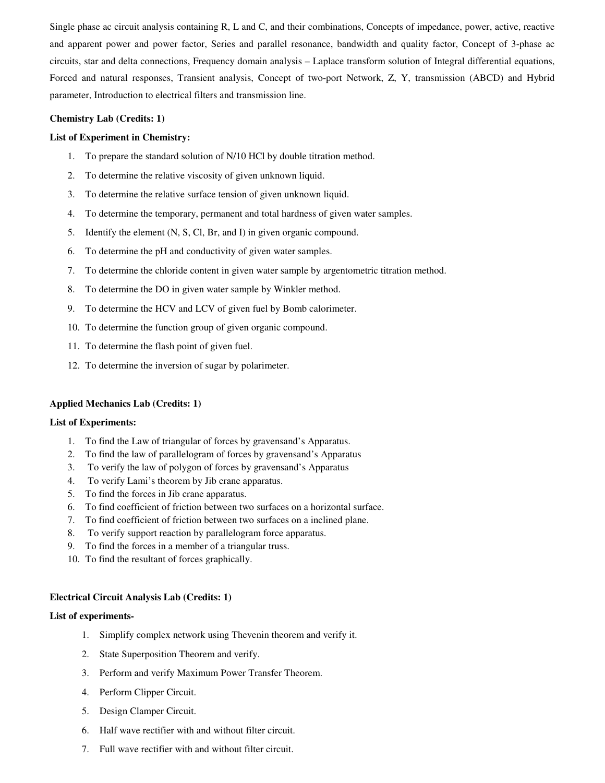Single phase ac circuit analysis containing R, L and C, and their combinations, Concepts of impedance, power, active, reactive and apparent power and power factor, Series and parallel resonance, bandwidth and quality factor, Concept of 3-phase ac circuits, star and delta connections, Frequency domain analysis – Laplace transform solution of Integral differential equations, Forced and natural responses, Transient analysis, Concept of two-port Network, Z, Y, transmission (ABCD) and Hybrid parameter, Introduction to electrical filters and transmission line.

# **Chemistry Lab (Credits: 1)**

# **List of Experiment in Chemistry:**

- 1. To prepare the standard solution of N/10 HCl by double titration method.
- 2. To determine the relative viscosity of given unknown liquid.
- 3. To determine the relative surface tension of given unknown liquid.
- 4. To determine the temporary, permanent and total hardness of given water samples.
- 5. Identify the element (N, S, Cl, Br, and I) in given organic compound.
- 6. To determine the pH and conductivity of given water samples.
- 7. To determine the chloride content in given water sample by argentometric titration method.
- 8. To determine the DO in given water sample by Winkler method.
- 9. To determine the HCV and LCV of given fuel by Bomb calorimeter.
- 10. To determine the function group of given organic compound.
- 11. To determine the flash point of given fuel.
- 12. To determine the inversion of sugar by polarimeter.

# **Applied Mechanics Lab (Credits: 1)**

# **List of Experiments:**

- 1. To find the Law of triangular of forces by gravensand's Apparatus.
- 2. To find the law of parallelogram of forces by gravensand's Apparatus
- 3. To verify the law of polygon of forces by gravensand's Apparatus
- 4. To verify Lami's theorem by Jib crane apparatus.
- 5. To find the forces in Jib crane apparatus.
- 6. To find coefficient of friction between two surfaces on a horizontal surface.
- 7. To find coefficient of friction between two surfaces on a inclined plane.
- 8. To verify support reaction by parallelogram force apparatus.
- 9. To find the forces in a member of a triangular truss.
- 10. To find the resultant of forces graphically.

# **Electrical Circuit Analysis Lab (Credits: 1)**

# **List of experiments-**

- 1. Simplify complex network using Thevenin theorem and verify it.
- 2. State Superposition Theorem and verify.
- 3. Perform and verify Maximum Power Transfer Theorem.
- 4. Perform Clipper Circuit.
- 5. Design Clamper Circuit.
- 6. Half wave rectifier with and without filter circuit.
- 7. Full wave rectifier with and without filter circuit.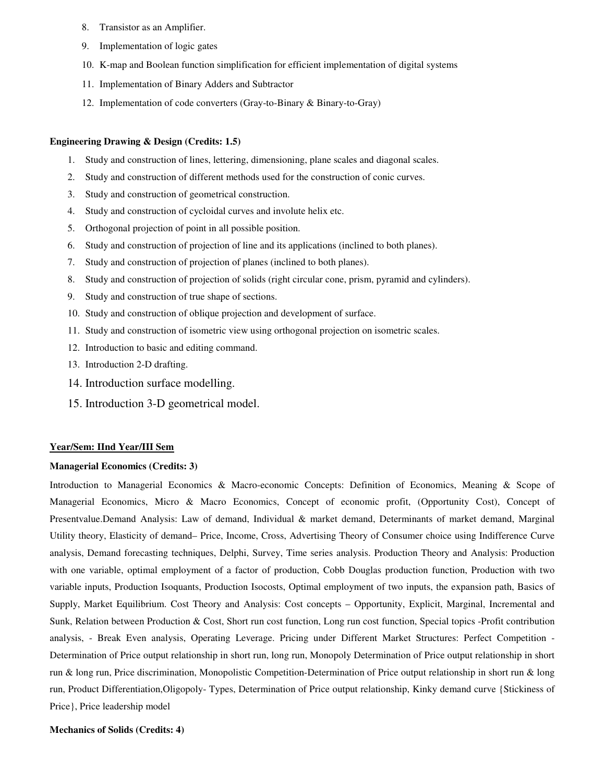- 8. Transistor as an Amplifier.
- 9. Implementation of logic gates
- 10. K-map and Boolean function simplification for efficient implementation of digital systems
- 11. Implementation of Binary Adders and Subtractor
- 12. Implementation of code converters (Gray-to-Binary & Binary-to-Gray)

# **Engineering Drawing & Design (Credits: 1.5)**

- 1. Study and construction of lines, lettering, dimensioning, plane scales and diagonal scales.
- 2. Study and construction of different methods used for the construction of conic curves.
- 3. Study and construction of geometrical construction.
- 4. Study and construction of cycloidal curves and involute helix etc.
- 5. Orthogonal projection of point in all possible position.
- 6. Study and construction of projection of line and its applications (inclined to both planes).
- 7. Study and construction of projection of planes (inclined to both planes).
- 8. Study and construction of projection of solids (right circular cone, prism, pyramid and cylinders).
- 9. Study and construction of true shape of sections.
- 10. Study and construction of oblique projection and development of surface.
- 11. Study and construction of isometric view using orthogonal projection on isometric scales.
- 12. Introduction to basic and editing command.
- 13. Introduction 2-D drafting.
- 14. Introduction surface modelling.
- 15. Introduction 3-D geometrical model.

# **Year/Sem: IInd Year/III Sem**

# **Managerial Economics (Credits: 3)**

Introduction to Managerial Economics & Macro-economic Concepts: Definition of Economics, Meaning & Scope of Managerial Economics, Micro & Macro Economics, Concept of economic profit, (Opportunity Cost), Concept of Presentvalue.Demand Analysis: Law of demand, Individual & market demand, Determinants of market demand, Marginal Utility theory, Elasticity of demand– Price, Income, Cross, Advertising Theory of Consumer choice using Indifference Curve analysis, Demand forecasting techniques, Delphi, Survey, Time series analysis. Production Theory and Analysis: Production with one variable, optimal employment of a factor of production, Cobb Douglas production function, Production with two variable inputs, Production Isoquants, Production Isocosts, Optimal employment of two inputs, the expansion path, Basics of Supply, Market Equilibrium. Cost Theory and Analysis: Cost concepts – Opportunity, Explicit, Marginal, Incremental and Sunk, Relation between Production & Cost, Short run cost function, Long run cost function, Special topics -Profit contribution analysis, - Break Even analysis, Operating Leverage. Pricing under Different Market Structures: Perfect Competition - Determination of Price output relationship in short run, long run, Monopoly Determination of Price output relationship in short run & long run, Price discrimination, Monopolistic Competition-Determination of Price output relationship in short run & long run, Product Differentiation,Oligopoly- Types, Determination of Price output relationship, Kinky demand curve {Stickiness of Price}, Price leadership model

**Mechanics of Solids (Credits: 4)**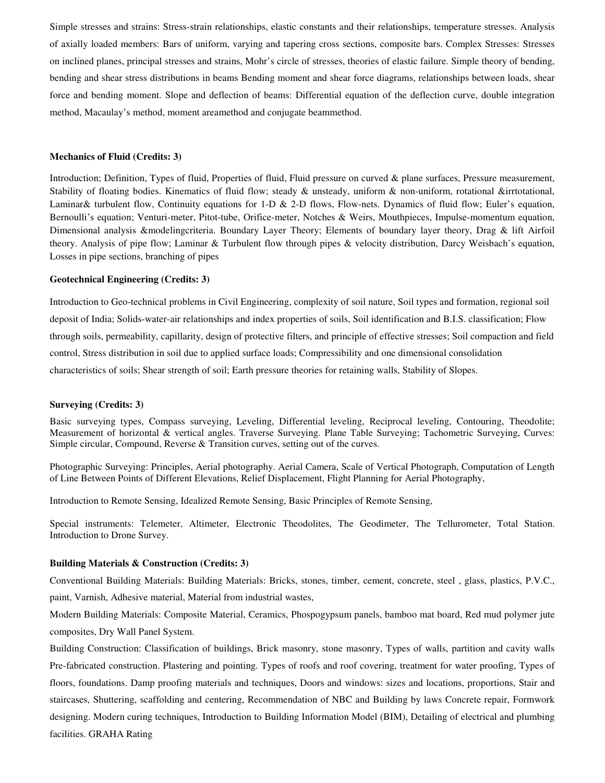Simple stresses and strains: Stress-strain relationships, elastic constants and their relationships, temperature stresses. Analysis of axially loaded members: Bars of uniform, varying and tapering cross sections, composite bars. Complex Stresses: Stresses on inclined planes, principal stresses and strains, Mohr's circle of stresses, theories of elastic failure. Simple theory of bending, bending and shear stress distributions in beams Bending moment and shear force diagrams, relationships between loads, shear force and bending moment. Slope and deflection of beams: Differential equation of the deflection curve, double integration method, Macaulay's method, moment areamethod and conjugate beammethod.

# **Mechanics of Fluid (Credits: 3)**

Introduction; Definition, Types of fluid, Properties of fluid, Fluid pressure on curved & plane surfaces, Pressure measurement, Stability of floating bodies. Kinematics of fluid flow; steady & unsteady, uniform & non-uniform, rotational &irrtotational, Laminar& turbulent flow, Continuity equations for 1-D & 2-D flows, Flow-nets. Dynamics of fluid flow; Euler's equation, Bernoulli's equation; Venturi-meter, Pitot-tube, Orifice-meter, Notches & Weirs, Mouthpieces, Impulse-momentum equation, Dimensional analysis &modelingcriteria. Boundary Layer Theory; Elements of boundary layer theory, Drag & lift Airfoil theory. Analysis of pipe flow; Laminar & Turbulent flow through pipes & velocity distribution, Darcy Weisbach's equation, Losses in pipe sections, branching of pipes

#### **Geotechnical Engineering (Credits: 3)**

Introduction to Geo-technical problems in Civil Engineering, complexity of soil nature, Soil types and formation, regional soil deposit of India; Solids-water-air relationships and index properties of soils, Soil identification and B.I.S. classification; Flow through soils, permeability, capillarity, design of protective filters, and principle of effective stresses; Soil compaction and field control, Stress distribution in soil due to applied surface loads; Compressibility and one dimensional consolidation characteristics of soils; Shear strength of soil; Earth pressure theories for retaining walls, Stability of Slopes.

#### **Surveying (Credits: 3)**

Basic surveying types, Compass surveying, Leveling, Differential leveling, Reciprocal leveling, Contouring, Theodolite; Measurement of horizontal & vertical angles. Traverse Surveying. Plane Table Surveying; Tachometric Surveying, Curves: Simple circular, Compound, Reverse & Transition curves, setting out of the curves.

Photographic Surveying: Principles, Aerial photography. Aerial Camera, Scale of Vertical Photograph, Computation of Length of Line Between Points of Different Elevations, Relief Displacement, Flight Planning for Aerial Photography,

Introduction to Remote Sensing, Idealized Remote Sensing, Basic Principles of Remote Sensing,

Special instruments: Telemeter, Altimeter, Electronic Theodolites, The Geodimeter, The Tellurometer, Total Station. Introduction to Drone Survey.

#### **Building Materials & Construction (Credits: 3)**

Conventional Building Materials: Building Materials: Bricks, stones, timber, cement, concrete, steel , glass, plastics, P.V.C., paint, Varnish, Adhesive material, Material from industrial wastes,

Modern Building Materials: Composite Material, Ceramics, Phospogypsum panels, bamboo mat board, Red mud polymer jute composites, Dry Wall Panel System.

Building Construction: Classification of buildings, Brick masonry, stone masonry, Types of walls, partition and cavity walls Pre-fabricated construction. Plastering and pointing. Types of roofs and roof covering, treatment for water proofing, Types of floors, foundations. Damp proofing materials and techniques, Doors and windows: sizes and locations, proportions, Stair and staircases, Shuttering, scaffolding and centering, Recommendation of NBC and Building by laws Concrete repair, Formwork designing. Modern curing techniques, Introduction to Building Information Model (BIM), Detailing of electrical and plumbing facilities. GRAHA Rating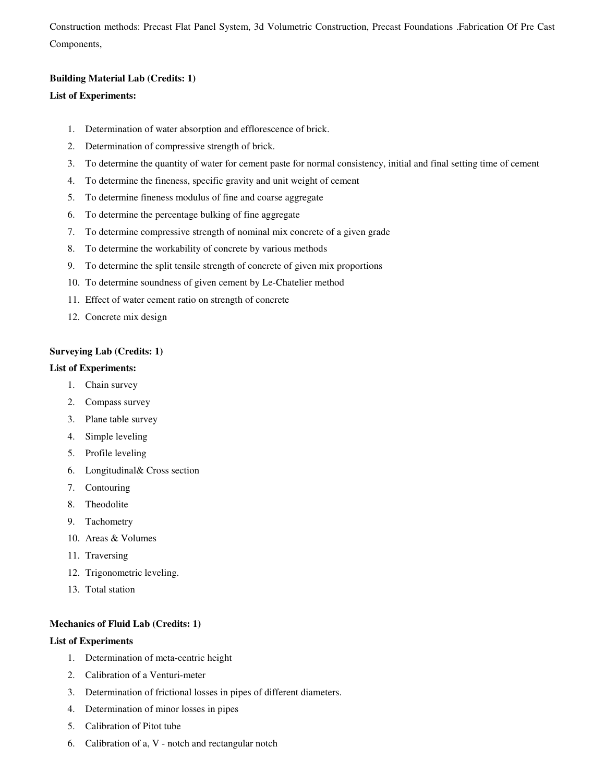Construction methods: Precast Flat Panel System, 3d Volumetric Construction, Precast Foundations .Fabrication Of Pre Cast Components,

# **Building Material Lab (Credits: 1)**

# **List of Experiments:**

- 1. Determination of water absorption and efflorescence of brick.
- 2. Determination of compressive strength of brick.
- 3. To determine the quantity of water for cement paste for normal consistency, initial and final setting time of cement
- 4. To determine the fineness, specific gravity and unit weight of cement
- 5. To determine fineness modulus of fine and coarse aggregate
- 6. To determine the percentage bulking of fine aggregate
- 7. To determine compressive strength of nominal mix concrete of a given grade
- 8. To determine the workability of concrete by various methods
- 9. To determine the split tensile strength of concrete of given mix proportions
- 10. To determine soundness of given cement by Le-Chatelier method
- 11. Effect of water cement ratio on strength of concrete
- 12. Concrete mix design

# **Surveying Lab (Credits: 1)**

# **List of Experiments:**

- 1. Chain survey
- 2. Compass survey
- 3. Plane table survey
- 4. Simple leveling
- 5. Profile leveling
- 6. Longitudinal& Cross section
- 7. Contouring
- 8. Theodolite
- 9. Tachometry
- 10. Areas & Volumes
- 11. Traversing
- 12. Trigonometric leveling.
- 13. Total station

# **Mechanics of Fluid Lab (Credits: 1)**

# **List of Experiments**

- 1. Determination of meta-centric height
- 2. Calibration of a Venturi-meter
- 3. Determination of frictional losses in pipes of different diameters.
- 4. Determination of minor losses in pipes
- 5. Calibration of Pitot tube
- 6. Calibration of a, V notch and rectangular notch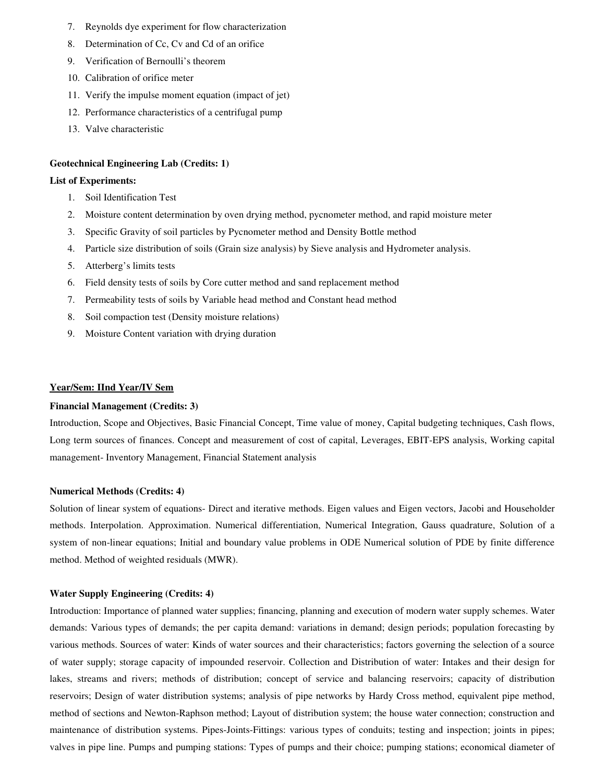- 7. Reynolds dye experiment for flow characterization
- 8. Determination of Cc, Cv and Cd of an orifice
- 9. Verification of Bernoulli's theorem
- 10. Calibration of orifice meter
- 11. Verify the impulse moment equation (impact of jet)
- 12. Performance characteristics of a centrifugal pump
- 13. Valve characteristic

### **Geotechnical Engineering Lab (Credits: 1)**

# **List of Experiments:**

- 1. Soil Identification Test
- 2. Moisture content determination by oven drying method, pycnometer method, and rapid moisture meter
- 3. Specific Gravity of soil particles by Pycnometer method and Density Bottle method
- 4. Particle size distribution of soils (Grain size analysis) by Sieve analysis and Hydrometer analysis.
- 5. Atterberg's limits tests
- 6. Field density tests of soils by Core cutter method and sand replacement method
- 7. Permeability tests of soils by Variable head method and Constant head method
- 8. Soil compaction test (Density moisture relations)
- 9. Moisture Content variation with drying duration

# **Year/Sem: IInd Year/IV Sem**

# **Financial Management (Credits: 3)**

Introduction, Scope and Objectives, Basic Financial Concept, Time value of money, Capital budgeting techniques, Cash flows, Long term sources of finances. Concept and measurement of cost of capital, Leverages, EBIT-EPS analysis, Working capital management- Inventory Management, Financial Statement analysis

#### **Numerical Methods (Credits: 4)**

Solution of linear system of equations- Direct and iterative methods. Eigen values and Eigen vectors, Jacobi and Householder methods. Interpolation. Approximation. Numerical differentiation, Numerical Integration, Gauss quadrature, Solution of a system of non-linear equations; Initial and boundary value problems in ODE Numerical solution of PDE by finite difference method. Method of weighted residuals (MWR).

#### **Water Supply Engineering (Credits: 4)**

Introduction: Importance of planned water supplies; financing, planning and execution of modern water supply schemes. Water demands: Various types of demands; the per capita demand: variations in demand; design periods; population forecasting by various methods. Sources of water: Kinds of water sources and their characteristics; factors governing the selection of a source of water supply; storage capacity of impounded reservoir. Collection and Distribution of water: Intakes and their design for lakes, streams and rivers; methods of distribution; concept of service and balancing reservoirs; capacity of distribution reservoirs; Design of water distribution systems; analysis of pipe networks by Hardy Cross method, equivalent pipe method, method of sections and Newton-Raphson method; Layout of distribution system; the house water connection; construction and maintenance of distribution systems. Pipes-Joints-Fittings: various types of conduits; testing and inspection; joints in pipes; valves in pipe line. Pumps and pumping stations: Types of pumps and their choice; pumping stations; economical diameter of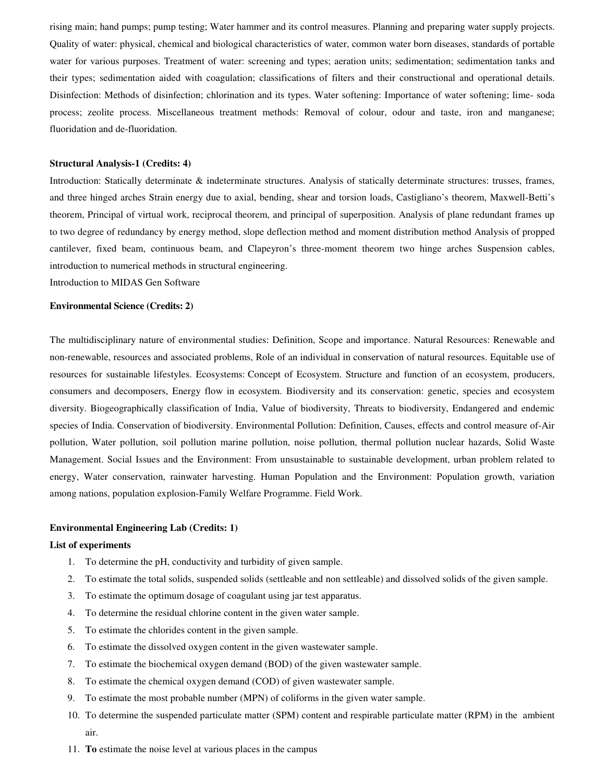rising main; hand pumps; pump testing; Water hammer and its control measures. Planning and preparing water supply projects. Quality of water: physical, chemical and biological characteristics of water, common water born diseases, standards of portable water for various purposes. Treatment of water: screening and types; aeration units; sedimentation; sedimentation tanks and their types; sedimentation aided with coagulation; classifications of filters and their constructional and operational details. Disinfection: Methods of disinfection; chlorination and its types. Water softening: Importance of water softening; lime- soda process; zeolite process. Miscellaneous treatment methods: Removal of colour, odour and taste, iron and manganese; fluoridation and de-fluoridation.

#### **Structural Analysis-1 (Credits: 4)**

Introduction: Statically determinate & indeterminate structures. Analysis of statically determinate structures: trusses, frames, and three hinged arches Strain energy due to axial, bending, shear and torsion loads, Castigliano's theorem, Maxwell-Betti's theorem, Principal of virtual work, reciprocal theorem, and principal of superposition. Analysis of plane redundant frames up to two degree of redundancy by energy method, slope deflection method and moment distribution method Analysis of propped cantilever, fixed beam, continuous beam, and Clapeyron's three-moment theorem two hinge arches Suspension cables, introduction to numerical methods in structural engineering.

Introduction to MIDAS Gen Software

# **Environmental Science (Credits: 2)**

The multidisciplinary nature of environmental studies: Definition, Scope and importance. Natural Resources: Renewable and non-renewable, resources and associated problems, Role of an individual in conservation of natural resources. Equitable use of resources for sustainable lifestyles. Ecosystems: Concept of Ecosystem. Structure and function of an ecosystem, producers, consumers and decomposers, Energy flow in ecosystem. Biodiversity and its conservation: genetic, species and ecosystem diversity. Biogeographically classification of India, Value of biodiversity, Threats to biodiversity, Endangered and endemic species of India. Conservation of biodiversity. Environmental Pollution: Definition, Causes, effects and control measure of-Air pollution, Water pollution, soil pollution marine pollution, noise pollution, thermal pollution nuclear hazards, Solid Waste Management. Social Issues and the Environment: From unsustainable to sustainable development, urban problem related to energy, Water conservation, rainwater harvesting. Human Population and the Environment: Population growth, variation among nations, population explosion-Family Welfare Programme. Field Work.

#### **Environmental Engineering Lab (Credits: 1)**

#### **List of experiments**

- 1. To determine the pH, conductivity and turbidity of given sample.
- 2. To estimate the total solids, suspended solids (settleable and non settleable) and dissolved solids of the given sample.
- 3. To estimate the optimum dosage of coagulant using jar test apparatus.
- 4. To determine the residual chlorine content in the given water sample.
- 5. To estimate the chlorides content in the given sample.
- 6. To estimate the dissolved oxygen content in the given wastewater sample.
- 7. To estimate the biochemical oxygen demand (BOD) of the given wastewater sample.
- 8. To estimate the chemical oxygen demand (COD) of given wastewater sample.
- 9. To estimate the most probable number (MPN) of coliforms in the given water sample.
- 10. To determine the suspended particulate matter (SPM) content and respirable particulate matter (RPM) in the ambient air.
- 11. **To** estimate the noise level at various places in the campus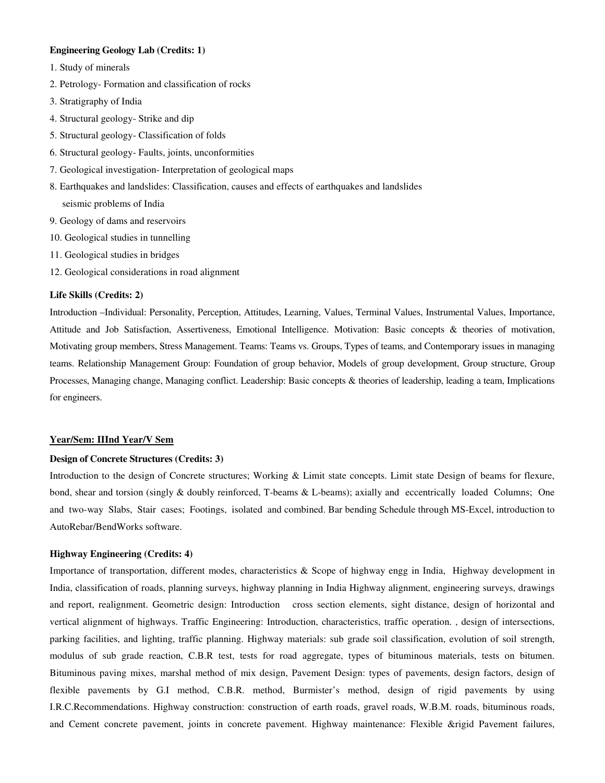# **Engineering Geology Lab (Credits: 1)**

- 1. Study of minerals
- 2. Petrology- Formation and classification of rocks
- 3. Stratigraphy of India
- 4. Structural geology- Strike and dip
- 5. Structural geology- Classification of folds
- 6. Structural geology- Faults, joints, unconformities
- 7. Geological investigation- Interpretation of geological maps
- 8. Earthquakes and landslides: Classification, causes and effects of earthquakes and landslides seismic problems of India
- 9. Geology of dams and reservoirs
- 10. Geological studies in tunnelling
- 11. Geological studies in bridges
- 12. Geological considerations in road alignment

# **Life Skills (Credits: 2)**

Introduction –Individual: Personality, Perception, Attitudes, Learning, Values, Terminal Values, Instrumental Values, Importance, Attitude and Job Satisfaction, Assertiveness, Emotional Intelligence. Motivation: Basic concepts & theories of motivation, Motivating group members, Stress Management. Teams: Teams vs. Groups, Types of teams, and Contemporary issues in managing teams. Relationship Management Group: Foundation of group behavior, Models of group development, Group structure, Group Processes, Managing change, Managing conflict. Leadership: Basic concepts & theories of leadership, leading a team, Implications for engineers.

# **Year/Sem: IIInd Year/V Sem**

# **Design of Concrete Structures (Credits: 3)**

Introduction to the design of Concrete structures; Working & Limit state concepts. Limit state Design of beams for flexure, bond, shear and torsion (singly & doubly reinforced, T-beams & L-beams); axially and eccentrically loaded Columns; One and two-way Slabs, Stair cases; Footings, isolated and combined. Bar bending Schedule through MS-Excel, introduction to AutoRebar/BendWorks software.

# **Highway Engineering (Credits: 4)**

Importance of transportation, different modes, characteristics & Scope of highway engg in India, Highway development in India, classification of roads, planning surveys, highway planning in India Highway alignment, engineering surveys, drawings and report, realignment. Geometric design: Introduction cross section elements, sight distance, design of horizontal and vertical alignment of highways. Traffic Engineering: Introduction, characteristics, traffic operation. , design of intersections, parking facilities, and lighting, traffic planning. Highway materials: sub grade soil classification, evolution of soil strength, modulus of sub grade reaction, C.B.R test, tests for road aggregate, types of bituminous materials, tests on bitumen. Bituminous paving mixes, marshal method of mix design, Pavement Design: types of pavements, design factors, design of flexible pavements by G.I method, C.B.R. method, Burmister's method, design of rigid pavements by using I.R.C.Recommendations. Highway construction: construction of earth roads, gravel roads, W.B.M. roads, bituminous roads, and Cement concrete pavement, joints in concrete pavement. Highway maintenance: Flexible &rigid Pavement failures,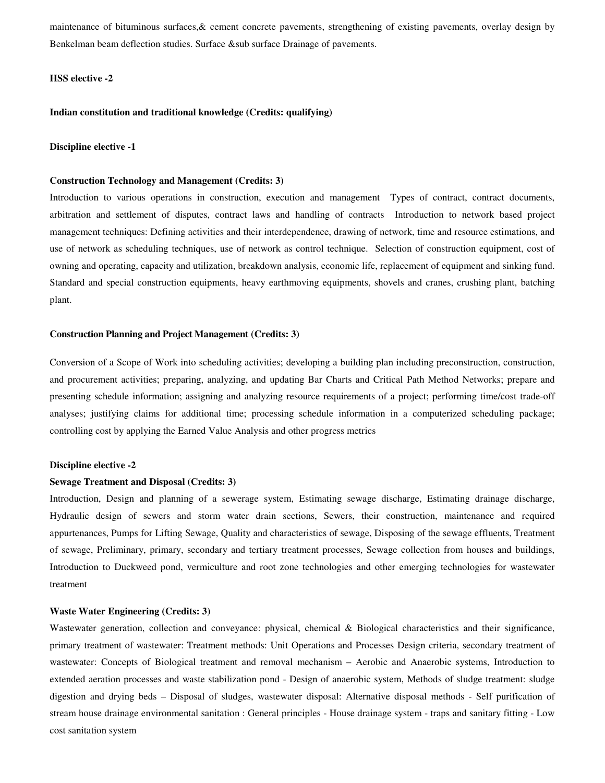maintenance of bituminous surfaces,& cement concrete pavements, strengthening of existing pavements, overlay design by Benkelman beam deflection studies. Surface &sub surface Drainage of pavements.

### **HSS elective -2**

# **Indian constitution and traditional knowledge (Credits: qualifying)**

# **Discipline elective -1**

#### **Construction Technology and Management (Credits: 3)**

Introduction to various operations in construction, execution and management Types of contract, contract documents, arbitration and settlement of disputes, contract laws and handling of contracts Introduction to network based project management techniques: Defining activities and their interdependence, drawing of network, time and resource estimations, and use of network as scheduling techniques, use of network as control technique. Selection of construction equipment, cost of owning and operating, capacity and utilization, breakdown analysis, economic life, replacement of equipment and sinking fund. Standard and special construction equipments, heavy earthmoving equipments, shovels and cranes, crushing plant, batching plant.

#### **Construction Planning and Project Management (Credits: 3)**

Conversion of a Scope of Work into scheduling activities; developing a building plan including preconstruction, construction, and procurement activities; preparing, analyzing, and updating Bar Charts and Critical Path Method Networks; prepare and presenting schedule information; assigning and analyzing resource requirements of a project; performing time/cost trade-off analyses; justifying claims for additional time; processing schedule information in a computerized scheduling package; controlling cost by applying the Earned Value Analysis and other progress metrics

#### **Discipline elective -2**

# **Sewage Treatment and Disposal (Credits: 3)**

Introduction, Design and planning of a sewerage system, Estimating sewage discharge, Estimating drainage discharge, Hydraulic design of sewers and storm water drain sections, Sewers, their construction, maintenance and required appurtenances, Pumps for Lifting Sewage, Quality and characteristics of sewage, Disposing of the sewage effluents, Treatment of sewage, Preliminary, primary, secondary and tertiary treatment processes, Sewage collection from houses and buildings, Introduction to Duckweed pond, vermiculture and root zone technologies and other emerging technologies for wastewater treatment

#### **Waste Water Engineering (Credits: 3)**

Wastewater generation, collection and conveyance: physical, chemical & Biological characteristics and their significance, primary treatment of wastewater: Treatment methods: Unit Operations and Processes Design criteria, secondary treatment of wastewater: Concepts of Biological treatment and removal mechanism – Aerobic and Anaerobic systems, Introduction to extended aeration processes and waste stabilization pond - Design of anaerobic system, Methods of sludge treatment: sludge digestion and drying beds – Disposal of sludges, wastewater disposal: Alternative disposal methods - Self purification of stream house drainage environmental sanitation : General principles - House drainage system - traps and sanitary fitting - Low cost sanitation system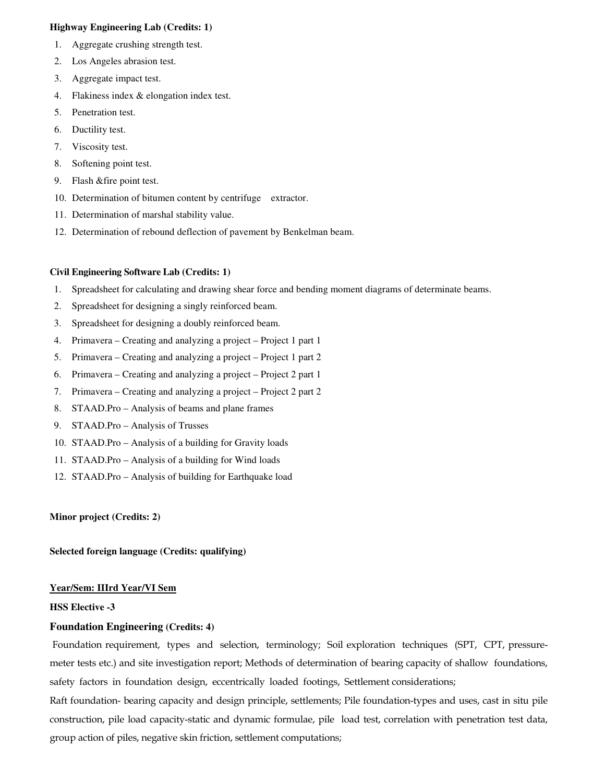# **Highway Engineering Lab (Credits: 1)**

- 1. Aggregate crushing strength test.
- 2. Los Angeles abrasion test.
- 3. Aggregate impact test.
- 4. Flakiness index & elongation index test.
- 5. Penetration test.
- 6. Ductility test.
- 7. Viscosity test.
- 8. Softening point test.
- 9. Flash &fire point test.
- 10. Determination of bitumen content by centrifuge extractor.
- 11. Determination of marshal stability value.
- 12. Determination of rebound deflection of pavement by Benkelman beam.

# **Civil Engineering Software Lab (Credits: 1)**

- 1. Spreadsheet for calculating and drawing shear force and bending moment diagrams of determinate beams.
- 2. Spreadsheet for designing a singly reinforced beam.
- 3. Spreadsheet for designing a doubly reinforced beam.
- 4. Primavera Creating and analyzing a project Project 1 part 1
- 5. Primavera Creating and analyzing a project Project 1 part 2
- 6. Primavera Creating and analyzing a project Project 2 part 1
- 7. Primavera Creating and analyzing a project Project 2 part 2
- 8. STAAD.Pro Analysis of beams and plane frames
- 9. STAAD.Pro Analysis of Trusses
- 10. STAAD.Pro Analysis of a building for Gravity loads
- 11. STAAD.Pro Analysis of a building for Wind loads
- 12. STAAD.Pro Analysis of building for Earthquake load

# **Minor project (Credits: 2)**

# **Selected foreign language (Credits: qualifying)**

# **Year/Sem: IIIrd Year/VI Sem**

# **HSS Elective -3**

# **Foundation Engineering (Credits: 4)**

Foundation requirement, types and selection, terminology; Soil exploration techniques (SPT, CPT, pressuremeter tests etc.) and site investigation report; Methods of determination of bearing capacity of shallow foundations, safety factors in foundation design, eccentrically loaded footings, Settlement considerations;

Raft foundation- bearing capacity and design principle, settlements; Pile foundation-types and uses, cast in situ pile construction, pile load capacity-static and dynamic formulae, pile load test, correlation with penetration test data, group action of piles, negative skin friction, settlement computations;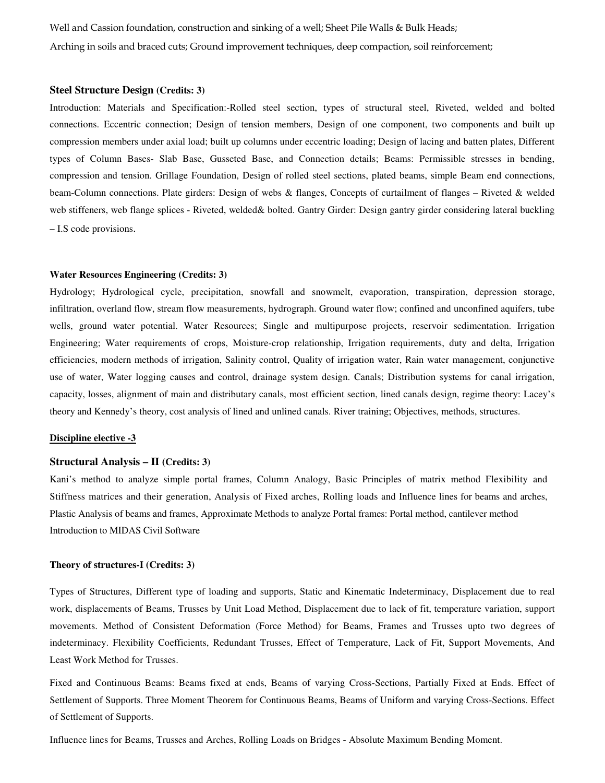Well and Cassion foundation, construction and sinking of a well; Sheet Pile Walls & Bulk Heads; Arching in soils and braced cuts; Ground improvement techniques, deep compaction, soil reinforcement;

#### **Steel Structure Design (Credits: 3)**

Introduction: Materials and Specification:-Rolled steel section, types of structural steel, Riveted, welded and bolted connections. Eccentric connection; Design of tension members, Design of one component, two components and built up compression members under axial load; built up columns under eccentric loading; Design of lacing and batten plates, Different types of Column Bases- Slab Base, Gusseted Base, and Connection details; Beams: Permissible stresses in bending, compression and tension. Grillage Foundation, Design of rolled steel sections, plated beams, simple Beam end connections, beam-Column connections. Plate girders: Design of webs & flanges, Concepts of curtailment of flanges – Riveted & welded web stiffeners, web flange splices - Riveted, welded& bolted. Gantry Girder: Design gantry girder considering lateral buckling – I.S code provisions.

## **Water Resources Engineering (Credits: 3)**

Hydrology; Hydrological cycle, precipitation, snowfall and snowmelt, evaporation, transpiration, depression storage, infiltration, overland flow, stream flow measurements, hydrograph. Ground water flow; confined and unconfined aquifers, tube wells, ground water potential. Water Resources; Single and multipurpose projects, reservoir sedimentation. Irrigation Engineering; Water requirements of crops, Moisture-crop relationship, Irrigation requirements, duty and delta, Irrigation efficiencies, modern methods of irrigation, Salinity control, Quality of irrigation water, Rain water management, conjunctive use of water, Water logging causes and control, drainage system design. Canals; Distribution systems for canal irrigation, capacity, losses, alignment of main and distributary canals, most efficient section, lined canals design, regime theory: Lacey's theory and Kennedy's theory, cost analysis of lined and unlined canals. River training; Objectives, methods, structures.

#### **Discipline elective -3**

# **Structural Analysis – II (Credits: 3)**

Kani's method to analyze simple portal frames, Column Analogy, Basic Principles of matrix method Flexibility and Stiffness matrices and their generation, Analysis of Fixed arches, Rolling loads and Influence lines for beams and arches, Plastic Analysis of beams and frames, Approximate Methods to analyze Portal frames: Portal method, cantilever method Introduction to MIDAS Civil Software

### **Theory of structures-I (Credits: 3)**

Types of Structures, Different type of loading and supports, Static and Kinematic Indeterminacy, Displacement due to real work, displacements of Beams, Trusses by Unit Load Method, Displacement due to lack of fit, temperature variation, support movements. Method of Consistent Deformation (Force Method) for Beams, Frames and Trusses upto two degrees of indeterminacy. Flexibility Coefficients, Redundant Trusses, Effect of Temperature, Lack of Fit, Support Movements, And Least Work Method for Trusses.

Fixed and Continuous Beams: Beams fixed at ends, Beams of varying Cross-Sections, Partially Fixed at Ends. Effect of Settlement of Supports. Three Moment Theorem for Continuous Beams, Beams of Uniform and varying Cross-Sections. Effect of Settlement of Supports.

Influence lines for Beams, Trusses and Arches, Rolling Loads on Bridges - Absolute Maximum Bending Moment.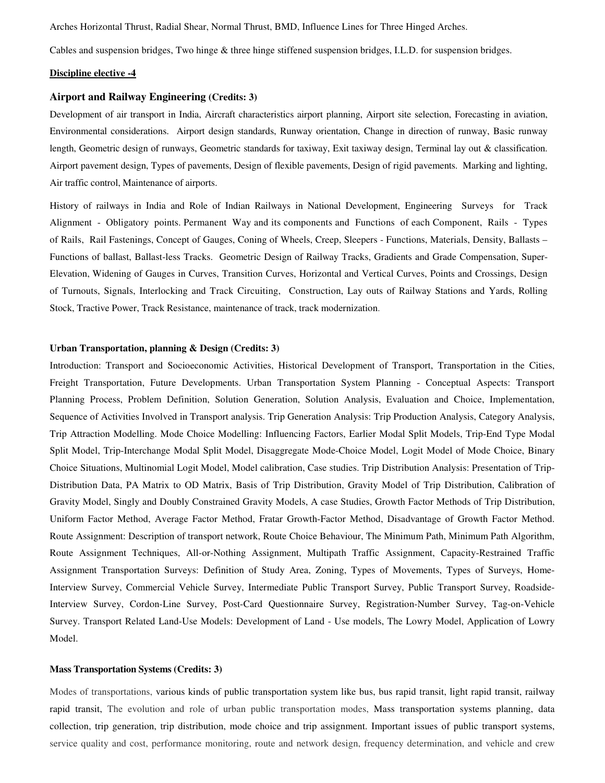Arches Horizontal Thrust, Radial Shear, Normal Thrust, BMD, Influence Lines for Three Hinged Arches.

Cables and suspension bridges, Two hinge & three hinge stiffened suspension bridges, I.L.D. for suspension bridges.

### **Discipline elective -4**

# **Airport and Railway Engineering (Credits: 3)**

Development of air transport in India, Aircraft characteristics airport planning, Airport site selection, Forecasting in aviation, Environmental considerations. Airport design standards, Runway orientation, Change in direction of runway, Basic runway length, Geometric design of runways, Geometric standards for taxiway, Exit taxiway design, Terminal lay out & classification. Airport pavement design, Types of pavements, Design of flexible pavements, Design of rigid pavements. Marking and lighting, Air traffic control, Maintenance of airports.

History of railways in India and Role of Indian Railways in National Development, Engineering Surveys for Track Alignment - Obligatory points. Permanent Way and its components and Functions of each Component, Rails - Types of Rails, Rail Fastenings, Concept of Gauges, Coning of Wheels, Creep, Sleepers - Functions, Materials, Density, Ballasts – Functions of ballast, Ballast-less Tracks. Geometric Design of Railway Tracks, Gradients and Grade Compensation, Super-Elevation, Widening of Gauges in Curves, Transition Curves, Horizontal and Vertical Curves, Points and Crossings, Design of Turnouts, Signals, Interlocking and Track Circuiting, Construction, Lay outs of Railway Stations and Yards, Rolling Stock, Tractive Power, Track Resistance, maintenance of track, track modernization.

# **Urban Transportation, planning & Design (Credits: 3)**

Introduction: Transport and Socioeconomic Activities, Historical Development of Transport, Transportation in the Cities, Freight Transportation, Future Developments. Urban Transportation System Planning - Conceptual Aspects: Transport Planning Process, Problem Definition, Solution Generation, Solution Analysis, Evaluation and Choice, Implementation, Sequence of Activities Involved in Transport analysis. Trip Generation Analysis: Trip Production Analysis, Category Analysis, Trip Attraction Modelling. Mode Choice Modelling: Influencing Factors, Earlier Modal Split Models, Trip-End Type Modal Split Model, Trip-Interchange Modal Split Model, Disaggregate Mode-Choice Model, Logit Model of Mode Choice, Binary Choice Situations, Multinomial Logit Model, Model calibration, Case studies. Trip Distribution Analysis: Presentation of Trip-Distribution Data, PA Matrix to OD Matrix, Basis of Trip Distribution, Gravity Model of Trip Distribution, Calibration of Gravity Model, Singly and Doubly Constrained Gravity Models, A case Studies, Growth Factor Methods of Trip Distribution, Uniform Factor Method, Average Factor Method, Fratar Growth-Factor Method, Disadvantage of Growth Factor Method. Route Assignment: Description of transport network, Route Choice Behaviour, The Minimum Path, Minimum Path Algorithm, Route Assignment Techniques, All-or-Nothing Assignment, Multipath Traffic Assignment, Capacity-Restrained Traffic Assignment Transportation Surveys: Definition of Study Area, Zoning, Types of Movements, Types of Surveys, Home-Interview Survey, Commercial Vehicle Survey, Intermediate Public Transport Survey, Public Transport Survey, Roadside-Interview Survey, Cordon-Line Survey, Post-Card Questionnaire Survey, Registration-Number Survey, Tag-on-Vehicle Survey. Transport Related Land-Use Models: Development of Land - Use models, The Lowry Model, Application of Lowry Model.

#### **Mass Transportation Systems (Credits: 3)**

Modes of transportations, various kinds of public transportation system like bus, bus rapid transit, light rapid transit, railway rapid transit, The evolution and role of urban public transportation modes, Mass transportation systems planning, data collection, trip generation, trip distribution, mode choice and trip assignment. Important issues of public transport systems, service quality and cost, performance monitoring, route and network design, frequency determination, and vehicle and crew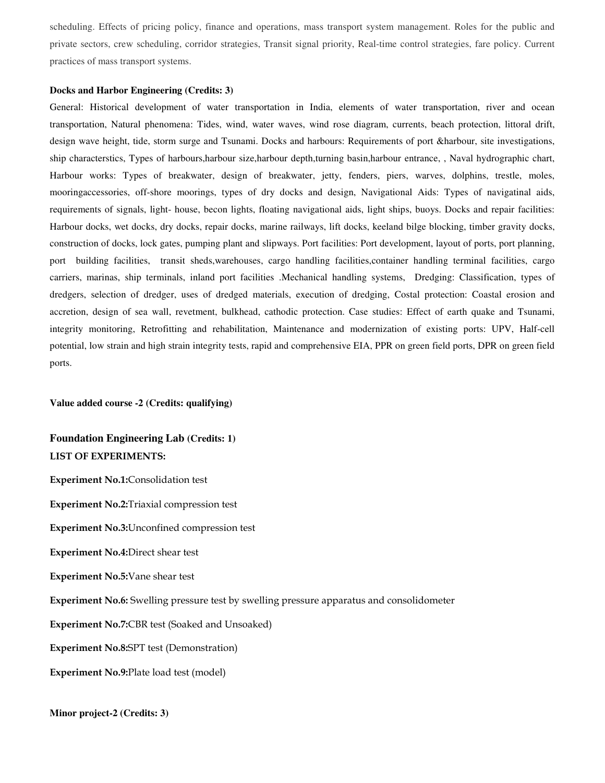scheduling. Effects of pricing policy, finance and operations, mass transport system management. Roles for the public and private sectors, crew scheduling, corridor strategies, Transit signal priority, Real-time control strategies, fare policy. Current practices of mass transport systems.

#### **Docks and Harbor Engineering (Credits: 3)**

General: Historical development of water transportation in India, elements of water transportation, river and ocean transportation, Natural phenomena: Tides, wind, water waves, wind rose diagram, currents, beach protection, littoral drift, design wave height, tide, storm surge and Tsunami. Docks and harbours: Requirements of port &harbour, site investigations, ship characterstics, Types of harbours,harbour size,harbour depth,turning basin,harbour entrance, , Naval hydrographic chart, Harbour works: Types of breakwater, design of breakwater, jetty, fenders, piers, warves, dolphins, trestle, moles, mooringaccessories, off-shore moorings, types of dry docks and design, Navigational Aids: Types of navigatinal aids, requirements of signals, light- house, becon lights, floating navigational aids, light ships, buoys. Docks and repair facilities: Harbour docks, wet docks, dry docks, repair docks, marine railways, lift docks, keeland bilge blocking, timber gravity docks, construction of docks, lock gates, pumping plant and slipways. Port facilities: Port development, layout of ports, port planning, port building facilities, transit sheds,warehouses, cargo handling facilities,container handling terminal facilities, cargo carriers, marinas, ship terminals, inland port facilities .Mechanical handling systems, Dredging: Classification, types of dredgers, selection of dredger, uses of dredged materials, execution of dredging, Costal protection: Coastal erosion and accretion, design of sea wall, revetment, bulkhead, cathodic protection. Case studies: Effect of earth quake and Tsunami, integrity monitoring, Retrofitting and rehabilitation, Maintenance and modernization of existing ports: UPV, Half-cell potential, low strain and high strain integrity tests, rapid and comprehensive EIA, PPR on green field ports, DPR on green field ports.

**Value added course -2 (Credits: qualifying)** 

# **Foundation Engineering Lab (Credits: 1) LIST OF EXPERIMENTS:**

**Experiment No.1:**Consolidation test

**Experiment No.2:**Triaxial compression test

**Experiment No.3:**Unconfined compression test

**Experiment No.4:**Direct shear test

**Experiment No.5:**Vane shear test

**Experiment No.6:** Swelling pressure test by swelling pressure apparatus and consolidometer

**Experiment No.7:**CBR test (Soaked and Unsoaked)

**Experiment No.8:**SPT test (Demonstration)

**Experiment No.9:**Plate load test (model)

**Minor project-2 (Credits: 3)**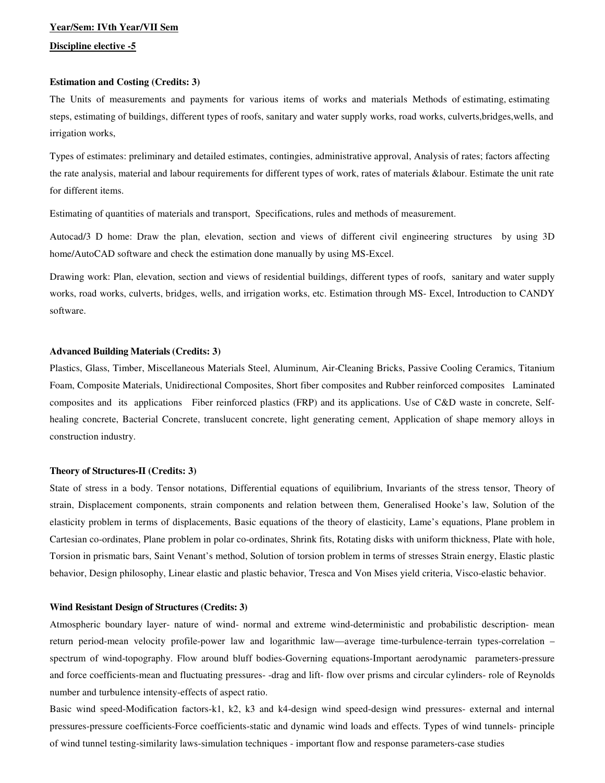# **Year/Sem: IVth Year/VII Sem**

# **Discipline elective -5**

# **Estimation and Costing (Credits: 3)**

The Units of measurements and payments for various items of works and materials Methods of estimating, estimating steps, estimating of buildings, different types of roofs, sanitary and water supply works, road works, culverts,bridges,wells, and irrigation works,

Types of estimates: preliminary and detailed estimates, contingies, administrative approval, Analysis of rates; factors affecting the rate analysis, material and labour requirements for different types of work, rates of materials &labour. Estimate the unit rate for different items.

Estimating of quantities of materials and transport, Specifications, rules and methods of measurement.

Autocad/3 D home: Draw the plan, elevation, section and views of different civil engineering structures by using 3D home/AutoCAD software and check the estimation done manually by using MS-Excel.

Drawing work: Plan, elevation, section and views of residential buildings, different types of roofs, sanitary and water supply works, road works, culverts, bridges, wells, and irrigation works, etc. Estimation through MS- Excel, Introduction to CANDY software.

### **Advanced Building Materials (Credits: 3)**

Plastics, Glass, Timber, Miscellaneous Materials Steel, Aluminum, Air-Cleaning Bricks, Passive Cooling Ceramics, Titanium Foam, Composite Materials, Unidirectional Composites, Short fiber composites and Rubber reinforced composites Laminated composites and its applications Fiber reinforced plastics (FRP) and its applications. Use of C&D waste in concrete, Selfhealing concrete, Bacterial Concrete, translucent concrete, light generating cement, Application of shape memory alloys in construction industry.

#### **Theory of Structures-II (Credits: 3)**

State of stress in a body. Tensor notations, Differential equations of equilibrium, Invariants of the stress tensor, Theory of strain, Displacement components, strain components and relation between them, Generalised Hooke's law, Solution of the elasticity problem in terms of displacements, Basic equations of the theory of elasticity, Lame's equations, Plane problem in Cartesian co-ordinates, Plane problem in polar co-ordinates, Shrink fits, Rotating disks with uniform thickness, Plate with hole, Torsion in prismatic bars, Saint Venant's method, Solution of torsion problem in terms of stresses Strain energy, Elastic plastic behavior, Design philosophy, Linear elastic and plastic behavior, Tresca and Von Mises yield criteria, Visco-elastic behavior.

# **Wind Resistant Design of Structures (Credits: 3)**

Atmospheric boundary layer- nature of wind- normal and extreme wind-deterministic and probabilistic description- mean return period-mean velocity profile-power law and logarithmic law—average time-turbulence-terrain types-correlation – spectrum of wind-topography. Flow around bluff bodies-Governing equations-Important aerodynamic parameters-pressure and force coefficients-mean and fluctuating pressures- -drag and lift- flow over prisms and circular cylinders- role of Reynolds number and turbulence intensity-effects of aspect ratio.

Basic wind speed-Modification factors-k1, k2, k3 and k4-design wind speed-design wind pressures- external and internal pressures-pressure coefficients-Force coefficients-static and dynamic wind loads and effects. Types of wind tunnels- principle of wind tunnel testing-similarity laws-simulation techniques - important flow and response parameters-case studies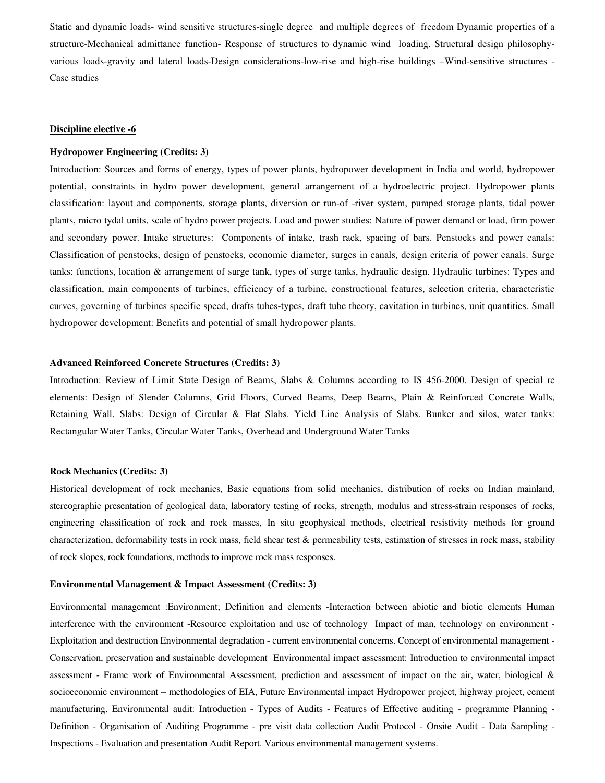Static and dynamic loads- wind sensitive structures-single degree and multiple degrees of freedom Dynamic properties of a structure-Mechanical admittance function- Response of structures to dynamic wind loading. Structural design philosophyvarious loads-gravity and lateral loads-Design considerations-low-rise and high-rise buildings –Wind-sensitive structures - Case studies

#### **Discipline elective -6**

#### **Hydropower Engineering (Credits: 3)**

Introduction: Sources and forms of energy, types of power plants, hydropower development in India and world, hydropower potential, constraints in hydro power development, general arrangement of a hydroelectric project. Hydropower plants classification: layout and components, storage plants, diversion or run-of -river system, pumped storage plants, tidal power plants, micro tydal units, scale of hydro power projects. Load and power studies: Nature of power demand or load, firm power and secondary power. Intake structures: Components of intake, trash rack, spacing of bars. Penstocks and power canals: Classification of penstocks, design of penstocks, economic diameter, surges in canals, design criteria of power canals. Surge tanks: functions, location & arrangement of surge tank, types of surge tanks, hydraulic design. Hydraulic turbines: Types and classification, main components of turbines, efficiency of a turbine, constructional features, selection criteria, characteristic curves, governing of turbines specific speed, drafts tubes-types, draft tube theory, cavitation in turbines, unit quantities. Small hydropower development: Benefits and potential of small hydropower plants.

#### **Advanced Reinforced Concrete Structures (Credits: 3)**

Introduction: Review of Limit State Design of Beams, Slabs & Columns according to IS 456-2000. Design of special rc elements: Design of Slender Columns, Grid Floors, Curved Beams, Deep Beams, Plain & Reinforced Concrete Walls, Retaining Wall. Slabs: Design of Circular & Flat Slabs. Yield Line Analysis of Slabs. Bunker and silos, water tanks: Rectangular Water Tanks, Circular Water Tanks, Overhead and Underground Water Tanks

#### **Rock Mechanics (Credits: 3)**

Historical development of rock mechanics, Basic equations from solid mechanics, distribution of rocks on Indian mainland, stereographic presentation of geological data, laboratory testing of rocks, strength, modulus and stress-strain responses of rocks, engineering classification of rock and rock masses, In situ geophysical methods, electrical resistivity methods for ground characterization, deformability tests in rock mass, field shear test & permeability tests, estimation of stresses in rock mass, stability of rock slopes, rock foundations, methods to improve rock mass responses.

#### **Environmental Management & Impact Assessment (Credits: 3)**

Environmental management :Environment; Definition and elements -Interaction between abiotic and biotic elements Human interference with the environment -Resource exploitation and use of technology Impact of man, technology on environment - Exploitation and destruction Environmental degradation - current environmental concerns. Concept of environmental management - Conservation, preservation and sustainable development Environmental impact assessment: Introduction to environmental impact assessment - Frame work of Environmental Assessment, prediction and assessment of impact on the air, water, biological & socioeconomic environment – methodologies of EIA, Future Environmental impact Hydropower project, highway project, cement manufacturing. Environmental audit: Introduction - Types of Audits - Features of Effective auditing - programme Planning - Definition - Organisation of Auditing Programme - pre visit data collection Audit Protocol - Onsite Audit - Data Sampling - Inspections - Evaluation and presentation Audit Report. Various environmental management systems.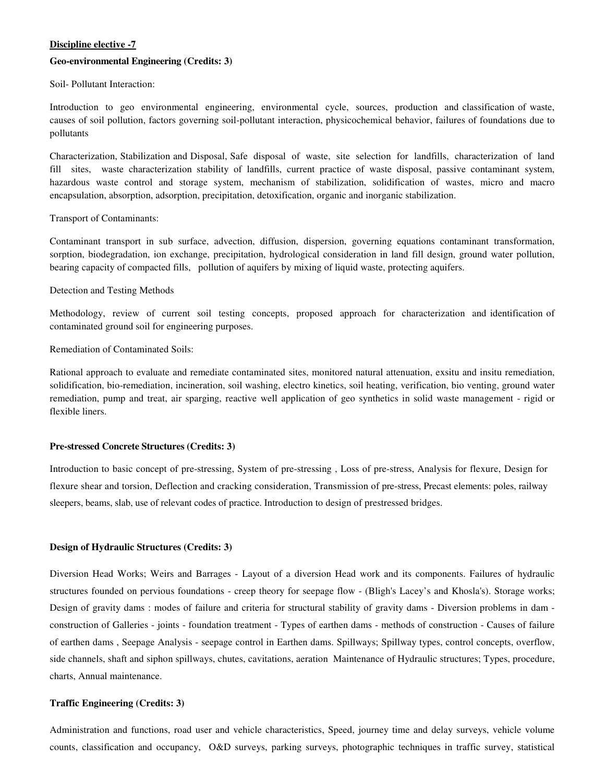# **Discipline elective -7**

#### **Geo-environmental Engineering (Credits: 3)**

Soil- Pollutant Interaction:

Introduction to geo environmental engineering, environmental cycle, sources, production and classification of waste, causes of soil pollution, factors governing soil-pollutant interaction, physicochemical behavior, failures of foundations due to pollutants

Characterization, Stabilization and Disposal, Safe disposal of waste, site selection for landfills, characterization of land fill sites, waste characterization stability of landfills, current practice of waste disposal, passive contaminant system, hazardous waste control and storage system, mechanism of stabilization, solidification of wastes, micro and macro encapsulation, absorption, adsorption, precipitation, detoxification, organic and inorganic stabilization.

### Transport of Contaminants:

Contaminant transport in sub surface, advection, diffusion, dispersion, governing equations contaminant transformation, sorption, biodegradation, ion exchange, precipitation, hydrological consideration in land fill design, ground water pollution, bearing capacity of compacted fills, pollution of aquifers by mixing of liquid waste, protecting aquifers.

### Detection and Testing Methods

Methodology, review of current soil testing concepts, proposed approach for characterization and identification of contaminated ground soil for engineering purposes.

# Remediation of Contaminated Soils:

Rational approach to evaluate and remediate contaminated sites, monitored natural attenuation, exsitu and insitu remediation, solidification, bio-remediation, incineration, soil washing, electro kinetics, soil heating, verification, bio venting, ground water remediation, pump and treat, air sparging, reactive well application of geo synthetics in solid waste management - rigid or flexible liners.

# **Pre-stressed Concrete Structures (Credits: 3)**

Introduction to basic concept of pre-stressing, System of pre-stressing , Loss of pre-stress, Analysis for flexure, Design for flexure shear and torsion, Deflection and cracking consideration, Transmission of pre-stress, Precast elements: poles, railway sleepers, beams, slab, use of relevant codes of practice. Introduction to design of prestressed bridges.

#### **Design of Hydraulic Structures (Credits: 3)**

Diversion Head Works; Weirs and Barrages - Layout of a diversion Head work and its components. Failures of hydraulic structures founded on pervious foundations - creep theory for seepage flow - (Bligh's Lacey's and Khosla's). Storage works; Design of gravity dams : modes of failure and criteria for structural stability of gravity dams - Diversion problems in dam construction of Galleries - joints - foundation treatment - Types of earthen dams - methods of construction - Causes of failure of earthen dams , Seepage Analysis - seepage control in Earthen dams. Spillways; Spillway types, control concepts, overflow, side channels, shaft and siphon spillways, chutes, cavitations, aeration Maintenance of Hydraulic structures; Types, procedure, charts, Annual maintenance.

# **Traffic Engineering (Credits: 3)**

Administration and functions, road user and vehicle characteristics, Speed, journey time and delay surveys, vehicle volume counts, classification and occupancy, O&D surveys, parking surveys, photographic techniques in traffic survey, statistical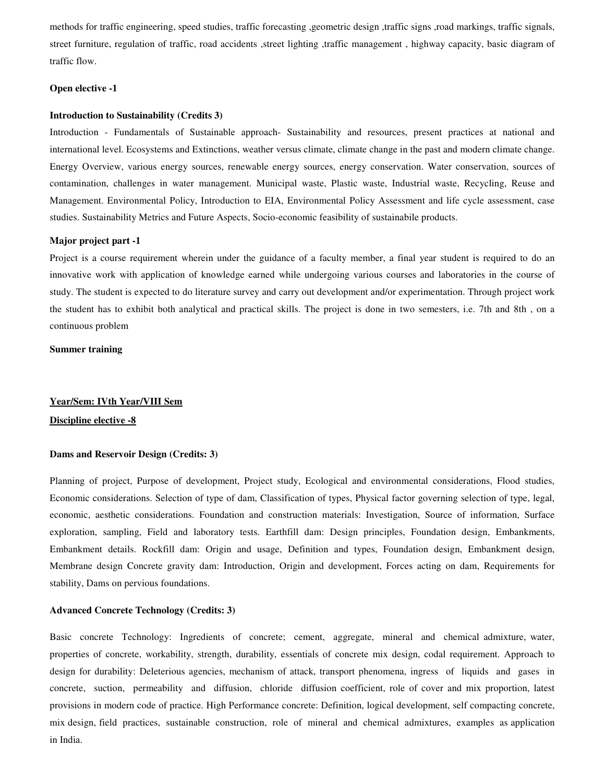methods for traffic engineering, speed studies, traffic forecasting ,geometric design ,traffic signs ,road markings, traffic signals, street furniture, regulation of traffic, road accidents ,street lighting ,traffic management , highway capacity, basic diagram of traffic flow.

# **Open elective -1**

#### **Introduction to Sustainability (Credits 3)**

Introduction - Fundamentals of Sustainable approach- Sustainability and resources, present practices at national and international level. Ecosystems and Extinctions, weather versus climate, climate change in the past and modern climate change. Energy Overview, various energy sources, renewable energy sources, energy conservation. Water conservation, sources of contamination, challenges in water management. Municipal waste, Plastic waste, Industrial waste, Recycling, Reuse and Management. Environmental Policy, Introduction to EIA, Environmental Policy Assessment and life cycle assessment, case studies. Sustainability Metrics and Future Aspects, Socio-economic feasibility of sustainabile products.

#### **Major project part -1**

Project is a course requirement wherein under the guidance of a faculty member, a final year student is required to do an innovative work with application of knowledge earned while undergoing various courses and laboratories in the course of study. The student is expected to do literature survey and carry out development and/or experimentation. Through project work the student has to exhibit both analytical and practical skills. The project is done in two semesters, i.e. 7th and 8th , on a continuous problem

# **Summer training**

#### **Year/Sem: IVth Year/VIII Sem**

#### **Discipline elective -8**

#### **Dams and Reservoir Design (Credits: 3)**

Planning of project, Purpose of development, Project study, Ecological and environmental considerations, Flood studies, Economic considerations. Selection of type of dam, Classification of types, Physical factor governing selection of type, legal, economic, aesthetic considerations. Foundation and construction materials: Investigation, Source of information, Surface exploration, sampling, Field and laboratory tests. Earthfill dam: Design principles, Foundation design, Embankments, Embankment details. Rockfill dam: Origin and usage, Definition and types, Foundation design, Embankment design, Membrane design Concrete gravity dam: Introduction, Origin and development, Forces acting on dam, Requirements for stability, Dams on pervious foundations.

#### **Advanced Concrete Technology (Credits: 3)**

Basic concrete Technology: Ingredients of concrete; cement, aggregate, mineral and chemical admixture, water, properties of concrete, workability, strength, durability, essentials of concrete mix design, codal requirement. Approach to design for durability: Deleterious agencies, mechanism of attack, transport phenomena, ingress of liquids and gases in concrete, suction, permeability and diffusion, chloride diffusion coefficient, role of cover and mix proportion, latest provisions in modern code of practice. High Performance concrete: Definition, logical development, self compacting concrete, mix design, field practices, sustainable construction, role of mineral and chemical admixtures, examples as application in India.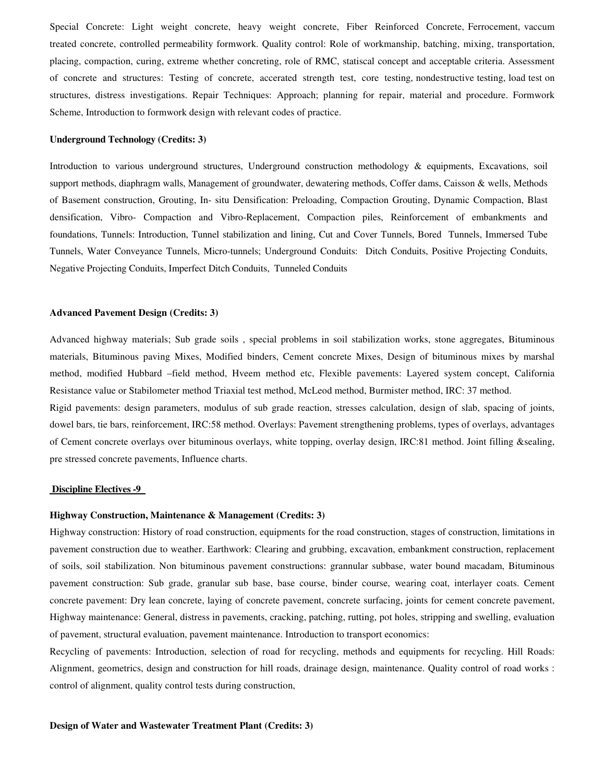Special Concrete: Light weight concrete, heavy weight concrete, Fiber Reinforced Concrete, Ferrocement, vaccum treated concrete, controlled permeability formwork. Quality control: Role of workmanship, batching, mixing, transportation, placing, compaction, curing, extreme whether concreting, role of RMC, statiscal concept and acceptable criteria. Assessment of concrete and structures: Testing of concrete, accerated strength test, core testing, nondestructive testing, load test on structures, distress investigations. Repair Techniques: Approach; planning for repair, material and procedure. Formwork Scheme, Introduction to formwork design with relevant codes of practice.

#### **Underground Technology (Credits: 3)**

Introduction to various underground structures, Underground construction methodology & equipments, Excavations, soil support methods, diaphragm walls, Management of groundwater, dewatering methods, Coffer dams, Caisson & wells, Methods of Basement construction, Grouting, In- situ Densification: Preloading, Compaction Grouting, Dynamic Compaction, Blast densification, Vibro- Compaction and Vibro-Replacement, Compaction piles, Reinforcement of embankments and foundations, Tunnels: Introduction, Tunnel stabilization and lining, Cut and Cover Tunnels, Bored Tunnels, Immersed Tube Tunnels, Water Conveyance Tunnels, Micro-tunnels; Underground Conduits: Ditch Conduits, Positive Projecting Conduits, Negative Projecting Conduits, Imperfect Ditch Conduits, Tunneled Conduits

#### **Advanced Pavement Design (Credits: 3)**

Advanced highway materials; Sub grade soils , special problems in soil stabilization works, stone aggregates, Bituminous materials, Bituminous paving Mixes, Modified binders, Cement concrete Mixes, Design of bituminous mixes by marshal method, modified Hubbard –field method, Hveem method etc, Flexible pavements: Layered system concept, California Resistance value or Stabilometer method Triaxial test method, McLeod method, Burmister method, IRC: 37 method. Rigid pavements: design parameters, modulus of sub grade reaction, stresses calculation, design of slab, spacing of joints, dowel bars, tie bars, reinforcement, IRC:58 method. Overlays: Pavement strengthening problems, types of overlays, advantages

of Cement concrete overlays over bituminous overlays, white topping, overlay design, IRC:81 method. Joint filling &sealing, pre stressed concrete pavements, Influence charts.

#### **Discipline Electives -9**

#### **Highway Construction, Maintenance & Management (Credits: 3)**

Highway construction: History of road construction, equipments for the road construction, stages of construction, limitations in pavement construction due to weather. Earthwork: Clearing and grubbing, excavation, embankment construction, replacement of soils, soil stabilization. Non bituminous pavement constructions: grannular subbase, water bound macadam, Bituminous pavement construction: Sub grade, granular sub base, base course, binder course, wearing coat, interlayer coats. Cement concrete pavement: Dry lean concrete, laying of concrete pavement, concrete surfacing, joints for cement concrete pavement, Highway maintenance: General, distress in pavements, cracking, patching, rutting, pot holes, stripping and swelling, evaluation of pavement, structural evaluation, pavement maintenance. Introduction to transport economics:

Recycling of pavements: Introduction, selection of road for recycling, methods and equipments for recycling. Hill Roads: Alignment, geometrics, design and construction for hill roads, drainage design, maintenance. Quality control of road works : control of alignment, quality control tests during construction,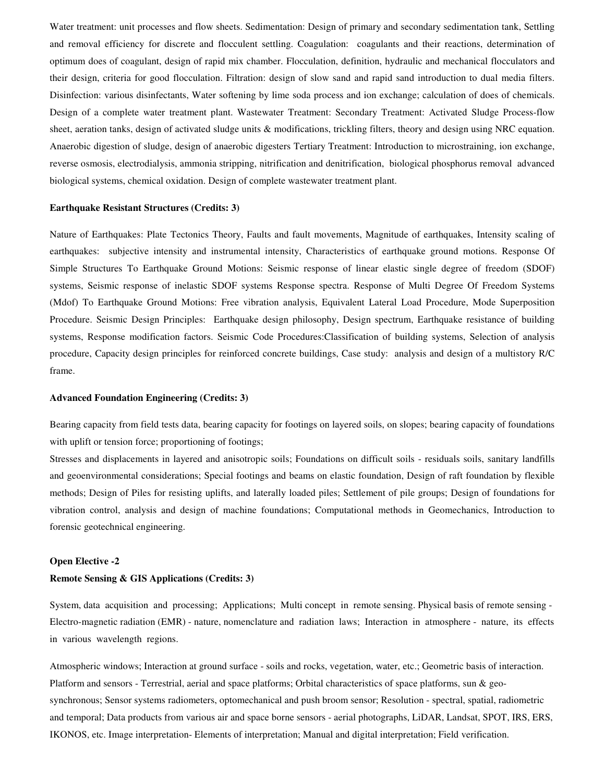Water treatment: unit processes and flow sheets. Sedimentation: Design of primary and secondary sedimentation tank, Settling and removal efficiency for discrete and flocculent settling. Coagulation: coagulants and their reactions, determination of optimum does of coagulant, design of rapid mix chamber. Flocculation, definition, hydraulic and mechanical flocculators and their design, criteria for good flocculation. Filtration: design of slow sand and rapid sand introduction to dual media filters. Disinfection: various disinfectants, Water softening by lime soda process and ion exchange; calculation of does of chemicals. Design of a complete water treatment plant. Wastewater Treatment: Secondary Treatment: Activated Sludge Process-flow sheet, aeration tanks, design of activated sludge units & modifications, trickling filters, theory and design using NRC equation. Anaerobic digestion of sludge, design of anaerobic digesters Tertiary Treatment: Introduction to microstraining, ion exchange, reverse osmosis, electrodialysis, ammonia stripping, nitrification and denitrification, biological phosphorus removal advanced biological systems, chemical oxidation. Design of complete wastewater treatment plant.

#### **Earthquake Resistant Structures (Credits: 3)**

Nature of Earthquakes: Plate Tectonics Theory, Faults and fault movements, Magnitude of earthquakes, Intensity scaling of earthquakes: subjective intensity and instrumental intensity, Characteristics of earthquake ground motions. Response Of Simple Structures To Earthquake Ground Motions: Seismic response of linear elastic single degree of freedom (SDOF) systems, Seismic response of inelastic SDOF systems Response spectra. Response of Multi Degree Of Freedom Systems (Mdof) To Earthquake Ground Motions: Free vibration analysis, Equivalent Lateral Load Procedure, Mode Superposition Procedure. Seismic Design Principles: Earthquake design philosophy, Design spectrum, Earthquake resistance of building systems, Response modification factors. Seismic Code Procedures:Classification of building systems, Selection of analysis procedure, Capacity design principles for reinforced concrete buildings, Case study: analysis and design of a multistory R/C frame.

#### **Advanced Foundation Engineering (Credits: 3)**

Bearing capacity from field tests data, bearing capacity for footings on layered soils, on slopes; bearing capacity of foundations with uplift or tension force; proportioning of footings;

Stresses and displacements in layered and anisotropic soils; Foundations on difficult soils - residuals soils, sanitary landfills and geoenvironmental considerations; Special footings and beams on elastic foundation, Design of raft foundation by flexible methods; Design of Piles for resisting uplifts, and laterally loaded piles; Settlement of pile groups; Design of foundations for vibration control, analysis and design of machine foundations; Computational methods in Geomechanics, Introduction to forensic geotechnical engineering.

#### **Open Elective -2**

# **Remote Sensing & GIS Applications (Credits: 3)**

System, data acquisition and processing; Applications; Multi concept in remote sensing. Physical basis of remote sensing - Electro-magnetic radiation (EMR) - nature, nomenclature and radiation laws; Interaction in atmosphere - nature, its effects in various wavelength regions.

Atmospheric windows; Interaction at ground surface - soils and rocks, vegetation, water, etc.; Geometric basis of interaction. Platform and sensors - Terrestrial, aerial and space platforms; Orbital characteristics of space platforms, sun & geosynchronous; Sensor systems radiometers, optomechanical and push broom sensor; Resolution - spectral, spatial, radiometric and temporal; Data products from various air and space borne sensors - aerial photographs, LiDAR, Landsat, SPOT, IRS, ERS, IKONOS, etc. Image interpretation- Elements of interpretation; Manual and digital interpretation; Field verification.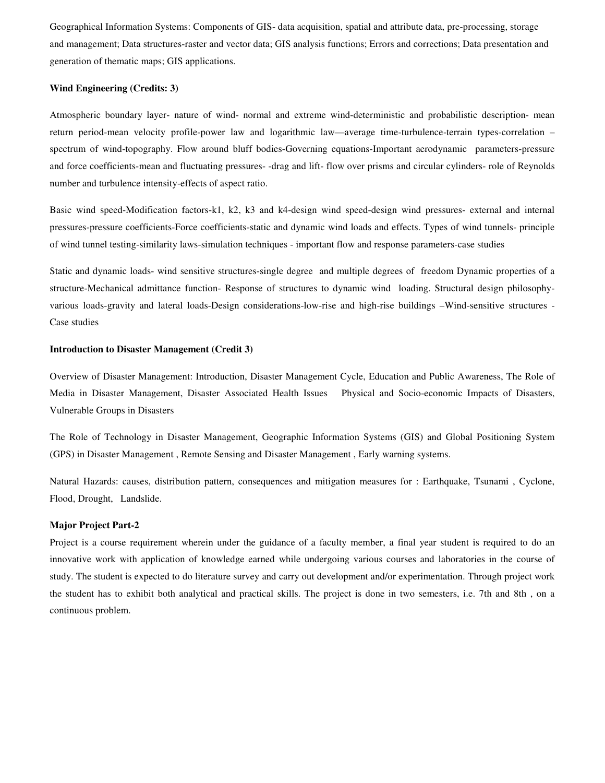Geographical Information Systems: Components of GIS- data acquisition, spatial and attribute data, pre-processing, storage and management; Data structures-raster and vector data; GIS analysis functions; Errors and corrections; Data presentation and generation of thematic maps; GIS applications.

#### **Wind Engineering (Credits: 3)**

Atmospheric boundary layer- nature of wind- normal and extreme wind-deterministic and probabilistic description- mean return period-mean velocity profile-power law and logarithmic law—average time-turbulence-terrain types-correlation – spectrum of wind-topography. Flow around bluff bodies-Governing equations-Important aerodynamic parameters-pressure and force coefficients-mean and fluctuating pressures- -drag and lift- flow over prisms and circular cylinders- role of Reynolds number and turbulence intensity-effects of aspect ratio.

Basic wind speed-Modification factors-k1, k2, k3 and k4-design wind speed-design wind pressures- external and internal pressures-pressure coefficients-Force coefficients-static and dynamic wind loads and effects. Types of wind tunnels- principle of wind tunnel testing-similarity laws-simulation techniques - important flow and response parameters-case studies

Static and dynamic loads- wind sensitive structures-single degree and multiple degrees of freedom Dynamic properties of a structure-Mechanical admittance function- Response of structures to dynamic wind loading. Structural design philosophyvarious loads-gravity and lateral loads-Design considerations-low-rise and high-rise buildings –Wind-sensitive structures - Case studies

# **Introduction to Disaster Management (Credit 3)**

Overview of Disaster Management: Introduction, Disaster Management Cycle, Education and Public Awareness, The Role of Media in Disaster Management, Disaster Associated Health Issues Physical and Socio-economic Impacts of Disasters, Vulnerable Groups in Disasters

The Role of Technology in Disaster Management, Geographic Information Systems (GIS) and Global Positioning System (GPS) in Disaster Management , Remote Sensing and Disaster Management , Early warning systems.

Natural Hazards: causes, distribution pattern, consequences and mitigation measures for : Earthquake, Tsunami , Cyclone, Flood, Drought, Landslide.

# **Major Project Part-2**

Project is a course requirement wherein under the guidance of a faculty member, a final year student is required to do an innovative work with application of knowledge earned while undergoing various courses and laboratories in the course of study. The student is expected to do literature survey and carry out development and/or experimentation. Through project work the student has to exhibit both analytical and practical skills. The project is done in two semesters, i.e. 7th and 8th , on a continuous problem.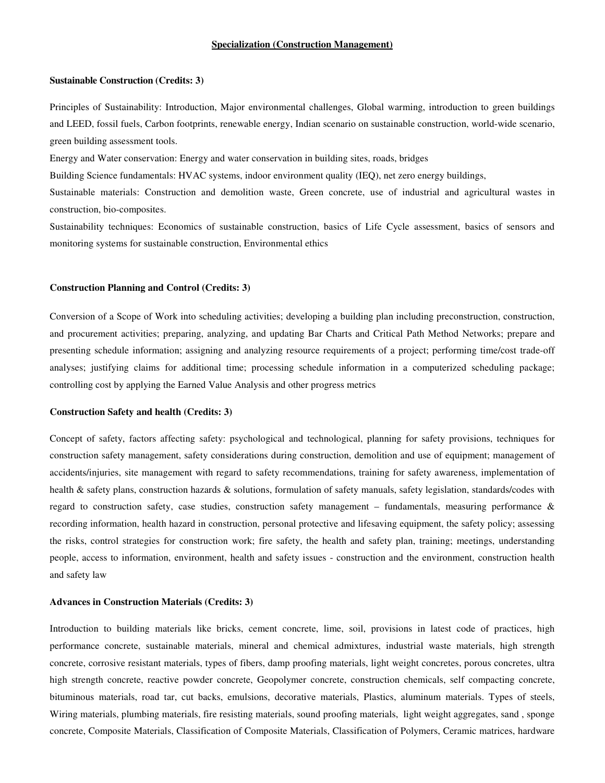#### **Specialization (Construction Management)**

#### **Sustainable Construction (Credits: 3)**

Principles of Sustainability: Introduction, Major environmental challenges, Global warming, introduction to green buildings and LEED, fossil fuels, Carbon footprints, renewable energy, Indian scenario on sustainable construction, world-wide scenario, green building assessment tools.

Energy and Water conservation: Energy and water conservation in building sites, roads, bridges

Building Science fundamentals: HVAC systems, indoor environment quality (IEQ), net zero energy buildings,

Sustainable materials: Construction and demolition waste, Green concrete, use of industrial and agricultural wastes in construction, bio-composites.

Sustainability techniques: Economics of sustainable construction, basics of Life Cycle assessment, basics of sensors and monitoring systems for sustainable construction, Environmental ethics

# **Construction Planning and Control (Credits: 3)**

Conversion of a Scope of Work into scheduling activities; developing a building plan including preconstruction, construction, and procurement activities; preparing, analyzing, and updating Bar Charts and Critical Path Method Networks; prepare and presenting schedule information; assigning and analyzing resource requirements of a project; performing time/cost trade-off analyses; justifying claims for additional time; processing schedule information in a computerized scheduling package; controlling cost by applying the Earned Value Analysis and other progress metrics

#### **Construction Safety and health (Credits: 3)**

Concept of safety, factors affecting safety: psychological and technological, planning for safety provisions, techniques for construction safety management, safety considerations during construction, demolition and use of equipment; management of accidents/injuries, site management with regard to safety recommendations, training for safety awareness, implementation of health & safety plans, construction hazards & solutions, formulation of safety manuals, safety legislation, standards/codes with regard to construction safety, case studies, construction safety management – fundamentals, measuring performance & recording information, health hazard in construction, personal protective and lifesaving equipment, the safety policy; assessing the risks, control strategies for construction work; fire safety, the health and safety plan, training; meetings, understanding people, access to information, environment, health and safety issues - construction and the environment, construction health and safety law

#### **Advances in Construction Materials (Credits: 3)**

Introduction to building materials like bricks, cement concrete, lime, soil, provisions in latest code of practices, high performance concrete, sustainable materials, mineral and chemical admixtures, industrial waste materials, high strength concrete, corrosive resistant materials, types of fibers, damp proofing materials, light weight concretes, porous concretes, ultra high strength concrete, reactive powder concrete, Geopolymer concrete, construction chemicals, self compacting concrete, bituminous materials, road tar, cut backs, emulsions, decorative materials, Plastics, aluminum materials. Types of steels, Wiring materials, plumbing materials, fire resisting materials, sound proofing materials, light weight aggregates, sand , sponge concrete, Composite Materials, Classification of Composite Materials, Classification of Polymers, Ceramic matrices, hardware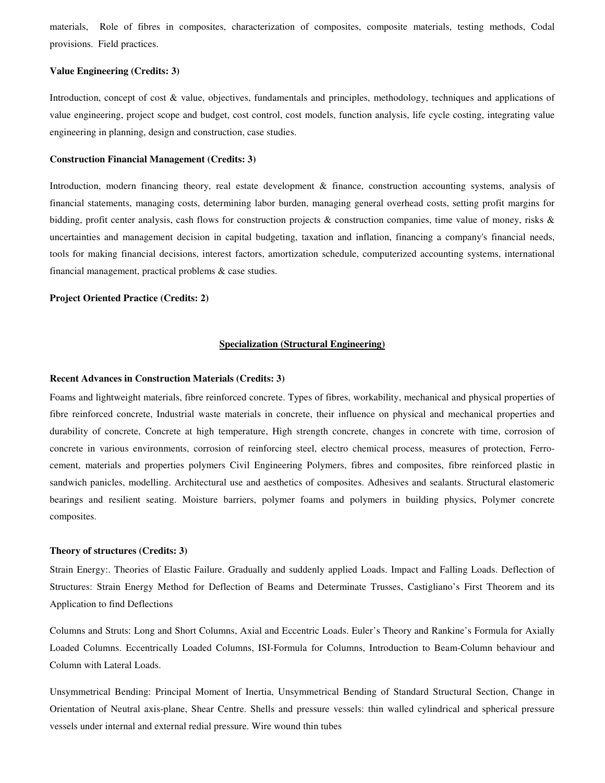materials, Role of fibres in composites, characterization of composites, composite materials, testing methods, Codal provisions. Field practices.

#### **Value Engineering (Credits: 3)**

Introduction, concept of cost & value, objectives, fundamentals and principles, methodology, techniques and applications of value engineering, project scope and budget, cost control, cost models, function analysis, life cycle costing, integrating value engineering in planning, design and construction, case studies.

#### **Construction Financial Management (Credits: 3)**

Introduction, modern financing theory, real estate development & finance, construction accounting systems, analysis of financial statements, managing costs, determining labor burden, managing general overhead costs, setting profit margins for bidding, profit center analysis, cash flows for construction projects & construction companies, time value of money, risks & uncertainties and management decision in capital budgeting, taxation and inflation, financing a company's financial needs, tools for making financial decisions, interest factors, amortization schedule, computerized accounting systems, international financial management, practical problems & case studies.

# **Project Oriented Practice (Credits: 2)**

#### **Specialization (Structural Engineering)**

#### **Recent Advances in Construction Materials (Credits: 3)**

Foams and lightweight materials, fibre reinforced concrete. Types of fibres, workability, mechanical and physical properties of fibre reinforced concrete, Industrial waste materials in concrete, their influence on physical and mechanical properties and durability of concrete, Concrete at high temperature, High strength concrete, changes in concrete with time, corrosion of concrete in various environments, corrosion of reinforcing steel, electro chemical process, measures of protection, Ferrocement, materials and properties polymers Civil Engineering Polymers, fibres and composites, fibre reinforced plastic in sandwich panicles, modelling. Architectural use and aesthetics of composites. Adhesives and sealants. Structural elastomeric bearings and resilient seating. Moisture barriers, polymer foams and polymers in building physics, Polymer concrete composites.

#### **Theory of structures (Credits: 3)**

Strain Energy:. Theories of Elastic Failure. Gradually and suddenly applied Loads. Impact and Falling Loads. Deflection of Structures: Strain Energy Method for Deflection of Beams and Determinate Trusses, Castigliano's First Theorem and its Application to find Deflections

Columns and Struts: Long and Short Columns, Axial and Eccentric Loads. Euler's Theory and Rankine's Formula for Axially Loaded Columns. Eccentrically Loaded Columns, ISI-Formula for Columns, Introduction to Beam-Column behaviour and Column with Lateral Loads.

Unsymmetrical Bending: Principal Moment of Inertia, Unsymmetrical Bending of Standard Structural Section, Change in Orientation of Neutral axis-plane, Shear Centre. Shells and pressure vessels: thin walled cylindrical and spherical pressure vessels under internal and external redial pressure. Wire wound thin tubes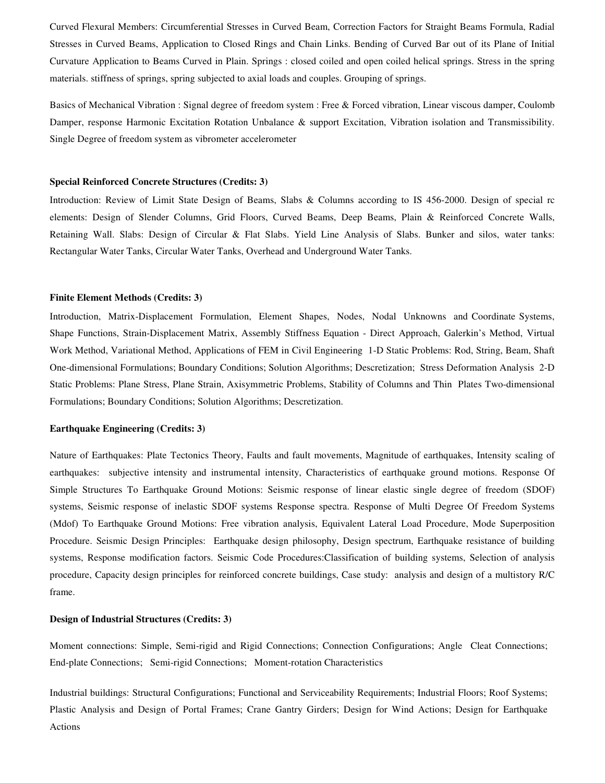Curved Flexural Members: Circumferential Stresses in Curved Beam, Correction Factors for Straight Beams Formula, Radial Stresses in Curved Beams, Application to Closed Rings and Chain Links. Bending of Curved Bar out of its Plane of Initial Curvature Application to Beams Curved in Plain. Springs : closed coiled and open coiled helical springs. Stress in the spring materials. stiffness of springs, spring subjected to axial loads and couples. Grouping of springs.

Basics of Mechanical Vibration : Signal degree of freedom system : Free & Forced vibration, Linear viscous damper, Coulomb Damper, response Harmonic Excitation Rotation Unbalance & support Excitation, Vibration isolation and Transmissibility. Single Degree of freedom system as vibrometer accelerometer

#### **Special Reinforced Concrete Structures (Credits: 3)**

Introduction: Review of Limit State Design of Beams, Slabs & Columns according to IS 456-2000. Design of special rc elements: Design of Slender Columns, Grid Floors, Curved Beams, Deep Beams, Plain & Reinforced Concrete Walls, Retaining Wall. Slabs: Design of Circular & Flat Slabs. Yield Line Analysis of Slabs. Bunker and silos, water tanks: Rectangular Water Tanks, Circular Water Tanks, Overhead and Underground Water Tanks.

#### **Finite Element Methods (Credits: 3)**

Introduction, Matrix-Displacement Formulation, Element Shapes, Nodes, Nodal Unknowns and Coordinate Systems, Shape Functions, Strain-Displacement Matrix, Assembly Stiffness Equation - Direct Approach, Galerkin's Method, Virtual Work Method, Variational Method, Applications of FEM in Civil Engineering 1-D Static Problems: Rod, String, Beam, Shaft One-dimensional Formulations; Boundary Conditions; Solution Algorithms; Descretization; Stress Deformation Analysis 2-D Static Problems: Plane Stress, Plane Strain, Axisymmetric Problems, Stability of Columns and Thin Plates Two-dimensional Formulations; Boundary Conditions; Solution Algorithms; Descretization.

#### **Earthquake Engineering (Credits: 3)**

Nature of Earthquakes: Plate Tectonics Theory, Faults and fault movements, Magnitude of earthquakes, Intensity scaling of earthquakes: subjective intensity and instrumental intensity, Characteristics of earthquake ground motions. Response Of Simple Structures To Earthquake Ground Motions: Seismic response of linear elastic single degree of freedom (SDOF) systems, Seismic response of inelastic SDOF systems Response spectra. Response of Multi Degree Of Freedom Systems (Mdof) To Earthquake Ground Motions: Free vibration analysis, Equivalent Lateral Load Procedure, Mode Superposition Procedure. Seismic Design Principles: Earthquake design philosophy, Design spectrum, Earthquake resistance of building systems, Response modification factors. Seismic Code Procedures:Classification of building systems, Selection of analysis procedure, Capacity design principles for reinforced concrete buildings, Case study: analysis and design of a multistory R/C frame.

# **Design of Industrial Structures (Credits: 3)**

Moment connections: Simple, Semi-rigid and Rigid Connections; Connection Configurations; Angle Cleat Connections; End-plate Connections; Semi-rigid Connections; Moment-rotation Characteristics

Industrial buildings: Structural Configurations; Functional and Serviceability Requirements; Industrial Floors; Roof Systems; Plastic Analysis and Design of Portal Frames; Crane Gantry Girders; Design for Wind Actions; Design for Earthquake Actions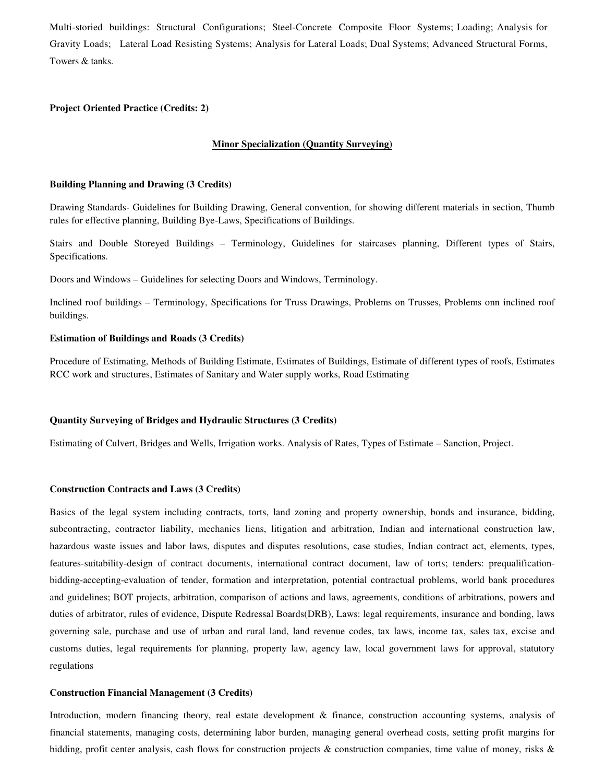Multi-storied buildings: Structural Configurations; Steel-Concrete Composite Floor Systems; Loading; Analysis for Gravity Loads; Lateral Load Resisting Systems; Analysis for Lateral Loads; Dual Systems; Advanced Structural Forms, Towers & tanks.

# **Project Oriented Practice (Credits: 2)**

# **Minor Specialization (Quantity Surveying)**

# **Building Planning and Drawing (3 Credits)**

Drawing Standards- Guidelines for Building Drawing, General convention, for showing different materials in section, Thumb rules for effective planning, Building Bye-Laws, Specifications of Buildings.

Stairs and Double Storeyed Buildings – Terminology, Guidelines for staircases planning, Different types of Stairs, Specifications.

Doors and Windows – Guidelines for selecting Doors and Windows, Terminology.

Inclined roof buildings – Terminology, Specifications for Truss Drawings, Problems on Trusses, Problems onn inclined roof buildings.

#### **Estimation of Buildings and Roads (3 Credits)**

Procedure of Estimating, Methods of Building Estimate, Estimates of Buildings, Estimate of different types of roofs, Estimates RCC work and structures, Estimates of Sanitary and Water supply works, Road Estimating

#### **Quantity Surveying of Bridges and Hydraulic Structures (3 Credits)**

Estimating of Culvert, Bridges and Wells, Irrigation works. Analysis of Rates, Types of Estimate – Sanction, Project.

#### **Construction Contracts and Laws (3 Credits)**

Basics of the legal system including contracts, torts, land zoning and property ownership, bonds and insurance, bidding, subcontracting, contractor liability, mechanics liens, litigation and arbitration, Indian and international construction law, hazardous waste issues and labor laws, disputes and disputes resolutions, case studies, Indian contract act, elements, types, features-suitability-design of contract documents, international contract document, law of torts; tenders: prequalificationbidding-accepting-evaluation of tender, formation and interpretation, potential contractual problems, world bank procedures and guidelines; BOT projects, arbitration, comparison of actions and laws, agreements, conditions of arbitrations, powers and duties of arbitrator, rules of evidence, Dispute Redressal Boards(DRB), Laws: legal requirements, insurance and bonding, laws governing sale, purchase and use of urban and rural land, land revenue codes, tax laws, income tax, sales tax, excise and customs duties, legal requirements for planning, property law, agency law, local government laws for approval, statutory regulations

#### **Construction Financial Management (3 Credits)**

Introduction, modern financing theory, real estate development & finance, construction accounting systems, analysis of financial statements, managing costs, determining labor burden, managing general overhead costs, setting profit margins for bidding, profit center analysis, cash flows for construction projects & construction companies, time value of money, risks &